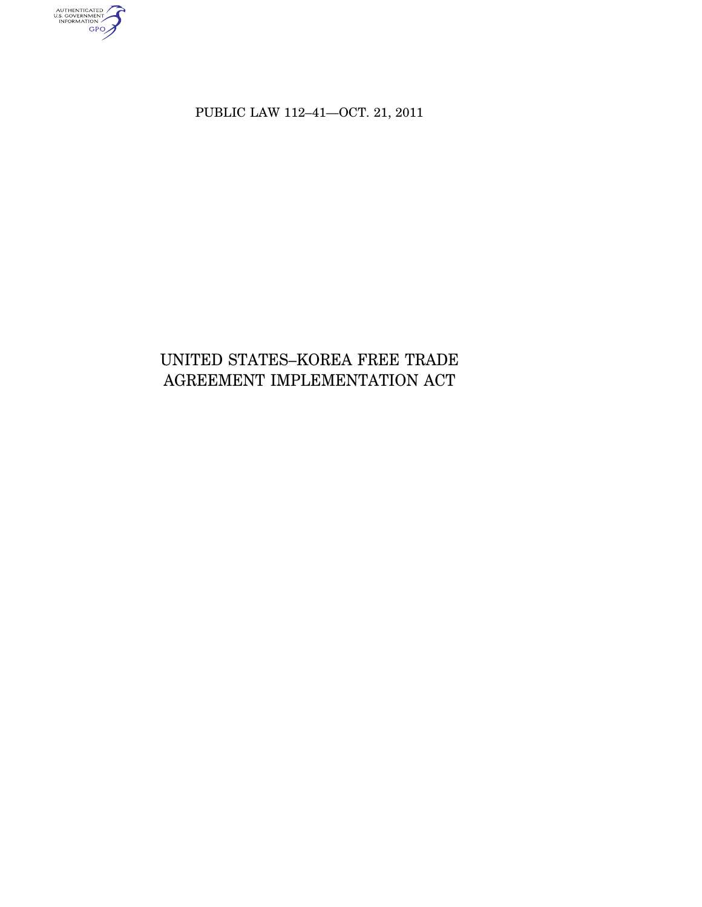AUTHENTICATED<br>U.S. GOVERNMENT<br>INFORMATION<br>GPO

PUBLIC LAW 112–41—OCT. 21, 2011

# UNITED STATES–KOREA FREE TRADE AGREEMENT IMPLEMENTATION ACT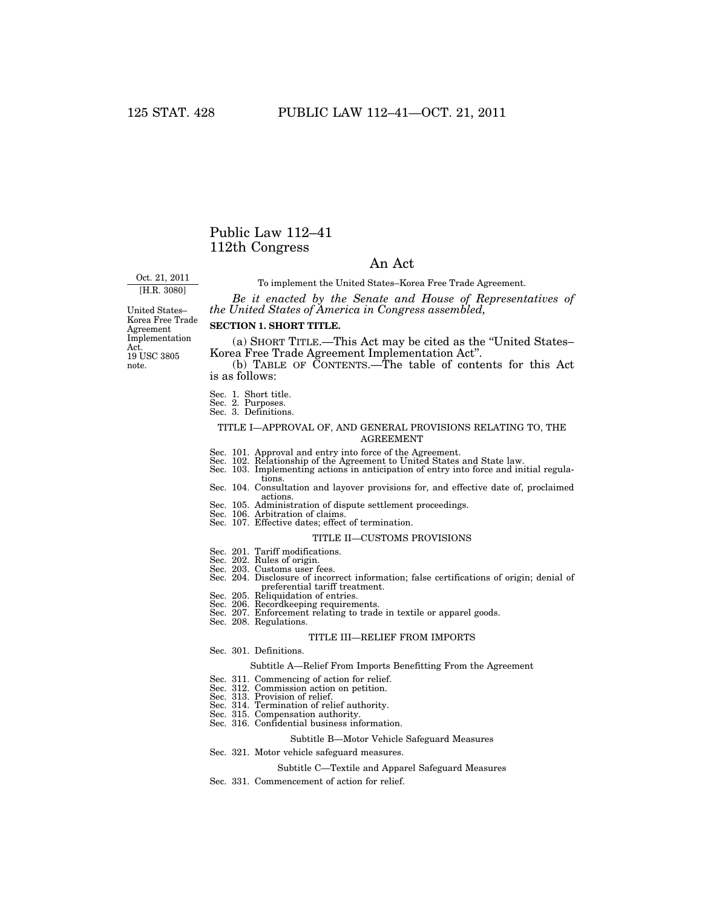## Public Law 112–41 112th Congress

## An Act

Oct. 21, 2011 [H.R. 3080]

To implement the United States–Korea Free Trade Agreement. *Be it enacted by the Senate and House of Representatives of* 

*the United States of America in Congress assembled,* 

Korea Free Trade Agreement Implementation Act. 19 USC 3805 note.

## **SECTION 1. SHORT TITLE.**

(a) SHORT TITLE.—This Act may be cited as the ''United States– Korea Free Trade Agreement Implementation Act''.

(b) TABLE OF CONTENTS.—The table of contents for this Act is as follows:

- 
- 
- Sec. 1. Short title. Sec. 2. Purposes. Sec. 3. Definitions.

### TITLE I—APPROVAL OF, AND GENERAL PROVISIONS RELATING TO, THE AGREEMENT

- 
- 
- Sec. 101. Approval and entry into force of the Agreement. Sec. 102. Relationship of the Agreement to United States and State law. Sec. 103. Implementing actions in anticipation of entry into force and initial regulations. Sec. 104. Consultation and layover provisions for, and effective date of, proclaimed
- actions. Sec. 105. Administration of dispute settlement proceedings.
- 
- Sec. 106. Arbitration of claims. Sec. 107. Effective dates; effect of termination.

#### TITLE II—CUSTOMS PROVISIONS

- 
- Sec. 201. Tariff modifications. Sec. 202. Rules of origin. Sec. 203. Customs user fees.
- 
- Sec. 204. Disclosure of incorrect information; false certifications of origin; denial of preferential tariff treatment.
- Sec. 205. Reliquidation of entries.
- 
- Sec. 206. Recordkeeping requirements. Sec. 207. Enforcement relating to trade in textile or apparel goods. Sec. 208. Regulations.

## TITLE III—RELIEF FROM IMPORTS

Sec. 301. Definitions.

#### Subtitle A—Relief From Imports Benefitting From the Agreement

- Sec. 311. Commencing of action for relief.
- 
- 
- 
- Sec. 312. Commission action on petition. Sec. 313. Provision of relief. Sec. 314. Termination of relief authority. Sec. 315. Compensation authority.
- Sec. 316. Confidential business information.

#### Subtitle B—Motor Vehicle Safeguard Measures

Sec. 321. Motor vehicle safeguard measures.

#### Subtitle C—Textile and Apparel Safeguard Measures

Sec. 331. Commencement of action for relief.

United States–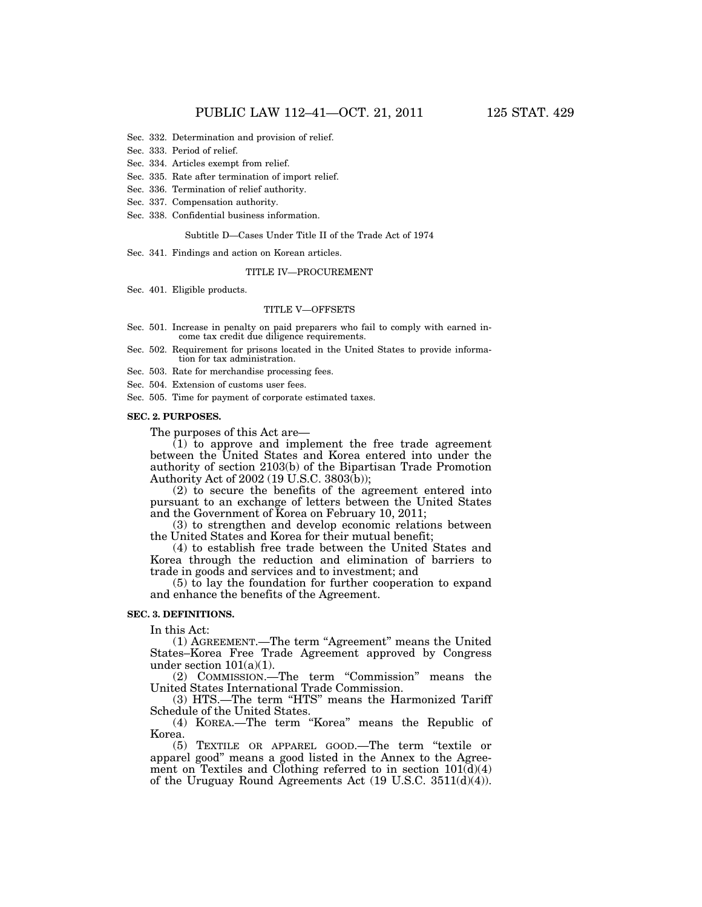- Sec. 332. Determination and provision of relief.
- Sec. 333. Period of relief.
- Sec. 334. Articles exempt from relief.
- Sec. 335. Rate after termination of import relief.
- Sec. 336. Termination of relief authority.
- Sec. 337. Compensation authority.
- Sec. 338. Confidential business information.

#### Subtitle D—Cases Under Title II of the Trade Act of 1974

Sec. 341. Findings and action on Korean articles.

#### TITLE IV—PROCUREMENT

Sec. 401. Eligible products.

## TITLE V—OFFSETS

- Sec. 501. Increase in penalty on paid preparers who fail to comply with earned income tax credit due diligence requirements.
- Sec. 502. Requirement for prisons located in the United States to provide information for tax administration.
- Sec. 503. Rate for merchandise processing fees.

Sec. 504. Extension of customs user fees.

Sec. 505. Time for payment of corporate estimated taxes.

#### **SEC. 2. PURPOSES.**

The purposes of this Act are—

 $(1)$  to approve and implement the free trade agreement between the United States and Korea entered into under the authority of section 2103(b) of the Bipartisan Trade Promotion Authority Act of 2002 (19 U.S.C. 3803(b));

(2) to secure the benefits of the agreement entered into pursuant to an exchange of letters between the United States and the Government of Korea on February 10, 2011;

(3) to strengthen and develop economic relations between the United States and Korea for their mutual benefit;

(4) to establish free trade between the United States and Korea through the reduction and elimination of barriers to trade in goods and services and to investment; and

(5) to lay the foundation for further cooperation to expand and enhance the benefits of the Agreement.

## **SEC. 3. DEFINITIONS.**

In this Act:

(1) AGREEMENT.—The term "Agreement" means the United States–Korea Free Trade Agreement approved by Congress under section  $101(a)(1)$ .

(2) COMMISSION.—The term ''Commission'' means the United States International Trade Commission.

(3) HTS.—The term ''HTS'' means the Harmonized Tariff Schedule of the United States.

(4) KOREA.—The term ''Korea'' means the Republic of Korea.

(5) TEXTILE OR APPAREL GOOD.—The term ''textile or apparel good'' means a good listed in the Annex to the Agreement on Textiles and Clothing referred to in section  $101\overline{d}(4)$ of the Uruguay Round Agreements Act (19 U.S.C. 3511(d)(4)).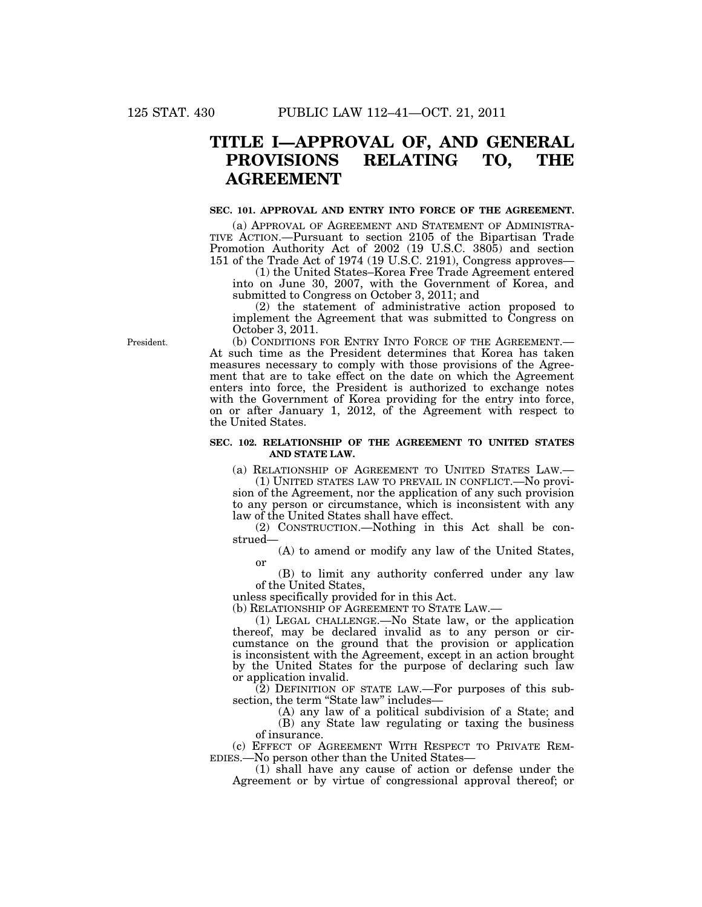# **TITLE I—APPROVAL OF, AND GENERAL PROVISIONS RELATING TO, THE AGREEMENT**

#### **SEC. 101. APPROVAL AND ENTRY INTO FORCE OF THE AGREEMENT.**

(a) APPROVAL OF AGREEMENT AND STATEMENT OF ADMINISTRA-TIVE ACTION.—Pursuant to section 2105 of the Bipartisan Trade Promotion Authority Act of 2002 (19 U.S.C. 3805) and section 151 of the Trade Act of 1974 (19 U.S.C. 2191), Congress approves—

(1) the United States–Korea Free Trade Agreement entered into on June 30, 2007, with the Government of Korea, and submitted to Congress on October 3, 2011; and

(2) the statement of administrative action proposed to implement the Agreement that was submitted to Congress on October 3, 2011.

(b) CONDITIONS FOR ENTRY INTO FORCE OF THE AGREEMENT.— At such time as the President determines that Korea has taken measures necessary to comply with those provisions of the Agreement that are to take effect on the date on which the Agreement enters into force, the President is authorized to exchange notes with the Government of Korea providing for the entry into force, on or after January 1, 2012, of the Agreement with respect to the United States.

## **SEC. 102. RELATIONSHIP OF THE AGREEMENT TO UNITED STATES AND STATE LAW.**

(a) RELATIONSHIP OF AGREEMENT TO UNITED STATES LAW.—

(1) UNITED STATES LAW TO PREVAIL IN CONFLICT.—No provision of the Agreement, nor the application of any such provision to any person or circumstance, which is inconsistent with any law of the United States shall have effect.

(2) CONSTRUCTION.—Nothing in this Act shall be construed—

(A) to amend or modify any law of the United States, or

(B) to limit any authority conferred under any law of the United States,

unless specifically provided for in this Act.

(b) RELATIONSHIP OF AGREEMENT TO STATE LAW.—

(1) LEGAL CHALLENGE.—No State law, or the application thereof, may be declared invalid as to any person or circumstance on the ground that the provision or application is inconsistent with the Agreement, except in an action brought by the United States for the purpose of declaring such law or application invalid.

(2) DEFINITION OF STATE LAW.—For purposes of this subsection, the term "State law" includes-

(A) any law of a political subdivision of a State; and (B) any State law regulating or taxing the business of insurance.

(c) EFFECT OF AGREEMENT WITH RESPECT TO PRIVATE REM-EDIES.—No person other than the United States—

(1) shall have any cause of action or defense under the Agreement or by virtue of congressional approval thereof; or

President.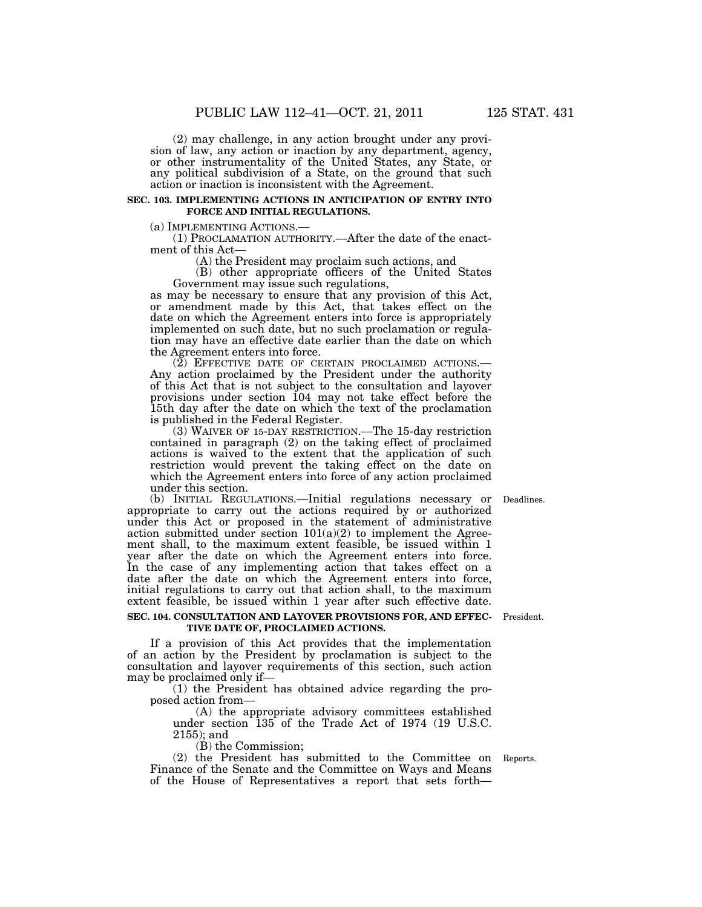(2) may challenge, in any action brought under any provision of law, any action or inaction by any department, agency, or other instrumentality of the United States, any State, or any political subdivision of a State, on the ground that such action or inaction is inconsistent with the Agreement.

#### **SEC. 103. IMPLEMENTING ACTIONS IN ANTICIPATION OF ENTRY INTO FORCE AND INITIAL REGULATIONS.**

(a) IMPLEMENTING ACTIONS.— (1) PROCLAMATION AUTHORITY.—After the date of the enactment of this Act—

(A) the President may proclaim such actions, and

(B) other appropriate officers of the United States Government may issue such regulations,

as may be necessary to ensure that any provision of this Act, or amendment made by this Act, that takes effect on the date on which the Agreement enters into force is appropriately implemented on such date, but no such proclamation or regulation may have an effective date earlier than the date on which the Agreement enters into force.

 $(2)$  EFFECTIVE DATE OF CERTAIN PROCLAIMED ACTIONS.—<br>Any action proclaimed by the President under the authority of this Act that is not subject to the consultation and layover provisions under section 104 may not take effect before the 15th day after the date on which the text of the proclamation is published in the Federal Register.

(3) WAIVER OF 15-DAY RESTRICTION.—The 15-day restriction contained in paragraph (2) on the taking effect of proclaimed actions is waived to the extent that the application of such restriction would prevent the taking effect on the date on which the Agreement enters into force of any action proclaimed under this section.

(b) INITIAL REGULATIONS.—Initial regulations necessary or Deadlines. appropriate to carry out the actions required by or authorized under this Act or proposed in the statement of administrative action submitted under section  $101(a)(2)$  to implement the Agreement shall, to the maximum extent feasible, be issued within 1 year after the date on which the Agreement enters into force. In the case of any implementing action that takes effect on a date after the date on which the Agreement enters into force, initial regulations to carry out that action shall, to the maximum extent feasible, be issued within 1 year after such effective date.

**SEC. 104. CONSULTATION AND LAYOVER PROVISIONS FOR, AND EFFEC-** President.

If a provision of this Act provides that the implementation of an action by the President by proclamation is subject to the consultation and layover requirements of this section, such action

**TIVE DATE OF, PROCLAIMED ACTIONS.** 

may be proclaimed only if— (1) the President has obtained advice regarding the proposed action from—

> (A) the appropriate advisory committees established under section 135 of the Trade Act of 1974 (19 U.S.C. 2155); and

(B) the Commission;

(2) the President has submitted to the Committee on Reports. Finance of the Senate and the Committee on Ways and Means of the House of Representatives a report that sets forth—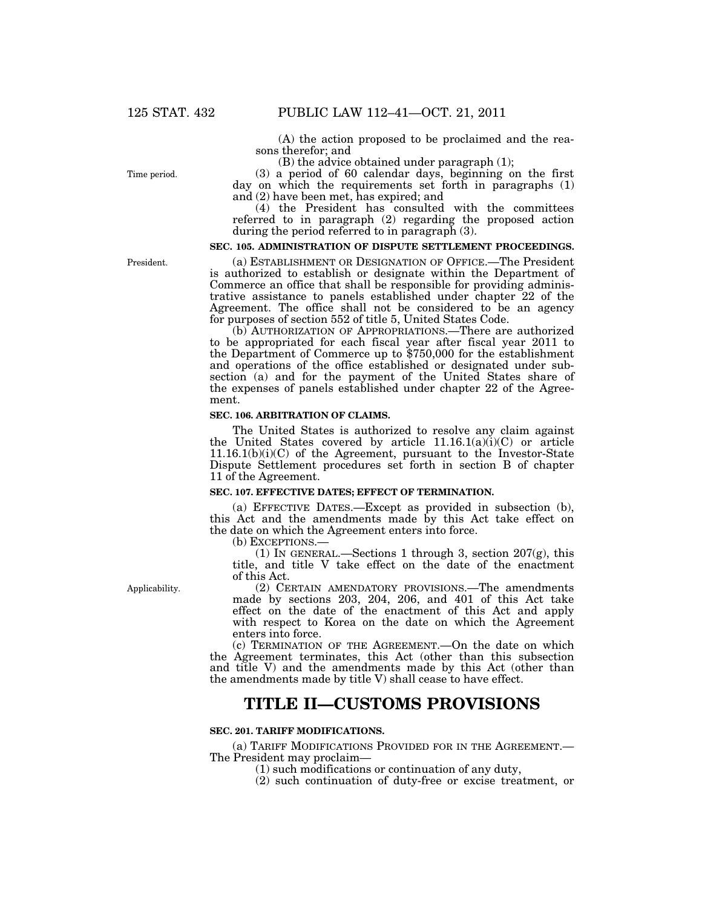(A) the action proposed to be proclaimed and the reasons therefor; and

(B) the advice obtained under paragraph (1);

(3) a period of 60 calendar days, beginning on the first day on which the requirements set forth in paragraphs (1) and (2) have been met, has expired; and

(4) the President has consulted with the committees referred to in paragraph (2) regarding the proposed action during the period referred to in paragraph (3).

## **SEC. 105. ADMINISTRATION OF DISPUTE SETTLEMENT PROCEEDINGS.**

(a) ESTABLISHMENT OR DESIGNATION OF OFFICE.—The President is authorized to establish or designate within the Department of Commerce an office that shall be responsible for providing administrative assistance to panels established under chapter 22 of the Agreement. The office shall not be considered to be an agency for purposes of section 552 of title 5, United States Code.

(b) AUTHORIZATION OF APPROPRIATIONS.—There are authorized to be appropriated for each fiscal year after fiscal year 2011 to the Department of Commerce up to \$750,000 for the establishment and operations of the office established or designated under subsection (a) and for the payment of the United States share of the expenses of panels established under chapter 22 of the Agreement.

## **SEC. 106. ARBITRATION OF CLAIMS.**

The United States is authorized to resolve any claim against the United States covered by article  $11.16.1(a)(i)(C)$  or article 11.16.1(b)(i)(C) of the Agreement, pursuant to the Investor-State Dispute Settlement procedures set forth in section B of chapter 11 of the Agreement.

#### **SEC. 107. EFFECTIVE DATES; EFFECT OF TERMINATION.**

(a) EFFECTIVE DATES.—Except as provided in subsection (b), this Act and the amendments made by this Act take effect on the date on which the Agreement enters into force.

(b) EXCEPTIONS.—

(1) IN GENERAL.—Sections 1 through 3, section 207(g), this title, and title V take effect on the date of the enactment of this Act.

(2) CERTAIN AMENDATORY PROVISIONS.—The amendments made by sections 203, 204, 206, and 401 of this Act take effect on the date of the enactment of this Act and apply with respect to Korea on the date on which the Agreement enters into force.

(c) TERMINATION OF THE AGREEMENT.—On the date on which the Agreement terminates, this Act (other than this subsection and title V) and the amendments made by this Act (other than the amendments made by title V) shall cease to have effect.

## **TITLE II—CUSTOMS PROVISIONS**

#### **SEC. 201. TARIFF MODIFICATIONS.**

(a) TARIFF MODIFICATIONS PROVIDED FOR IN THE AGREEMENT.— The President may proclaim—

- (1) such modifications or continuation of any duty,
- (2) such continuation of duty-free or excise treatment, or

President.

Time period.

Applicability.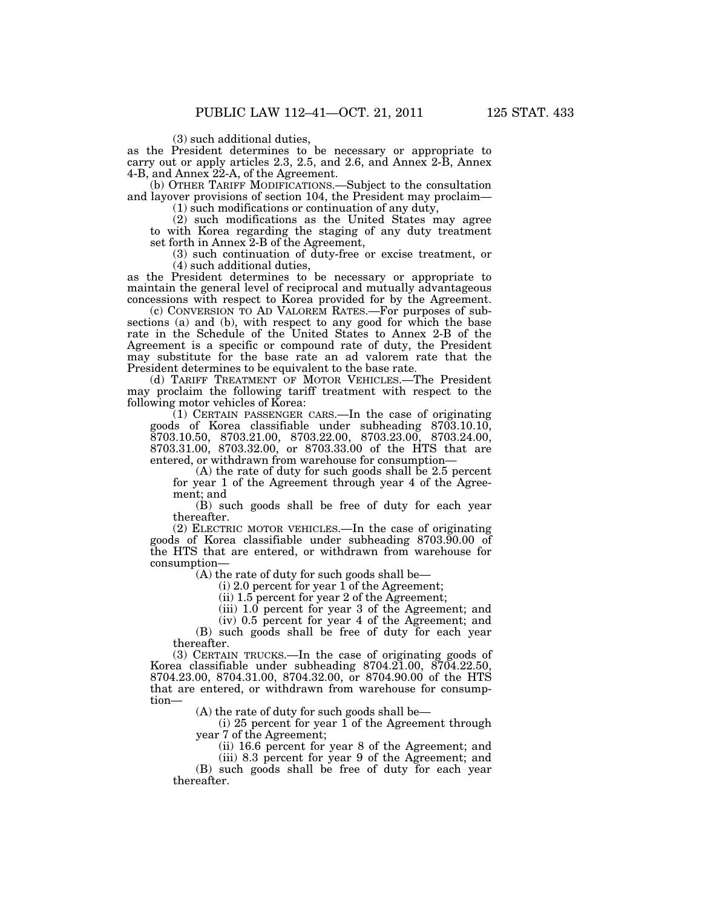(3) such additional duties,

as the President determines to be necessary or appropriate to carry out or apply articles 2.3, 2.5, and 2.6, and Annex 2-B, Annex 4-B, and Annex 22-A, of the Agreement.

(b) OTHER TARIFF MODIFICATIONS.—Subject to the consultation and layover provisions of section 104, the President may proclaim—

(1) such modifications or continuation of any duty,

(2) such modifications as the United States may agree to with Korea regarding the staging of any duty treatment set forth in Annex 2-B of the Agreement,

(3) such continuation of duty-free or excise treatment, or (4) such additional duties,

as the President determines to be necessary or appropriate to maintain the general level of reciprocal and mutually advantageous concessions with respect to Korea provided for by the Agreement.

(c) CONVERSION TO AD VALOREM RATES.—For purposes of subsections (a) and (b), with respect to any good for which the base rate in the Schedule of the United States to Annex 2-B of the Agreement is a specific or compound rate of duty, the President may substitute for the base rate an ad valorem rate that the President determines to be equivalent to the base rate.

(d) TARIFF TREATMENT OF MOTOR VEHICLES.—The President may proclaim the following tariff treatment with respect to the following motor vehicles of Korea:

(1) CERTAIN PASSENGER CARS.—In the case of originating goods of Korea classifiable under subheading 8703.10.10, 8703.10.50, 8703.21.00, 8703.22.00, 8703.23.00, 8703.24.00, 8703.31.00, 8703.32.00, or 8703.33.00 of the HTS that are entered, or withdrawn from warehouse for consumption—

(A) the rate of duty for such goods shall be 2.5 percent for year 1 of the Agreement through year 4 of the Agreement; and

(B) such goods shall be free of duty for each year thereafter.

(2) ELECTRIC MOTOR VEHICLES.—In the case of originating goods of Korea classifiable under subheading 8703.90.00 of the HTS that are entered, or withdrawn from warehouse for consumption—

(A) the rate of duty for such goods shall be—

(i) 2.0 percent for year 1 of the Agreement;

(ii) 1.5 percent for year 2 of the Agreement;

(iii) 1.0 percent for year 3 of the Agreement; and

(iv) 0.5 percent for year 4 of the Agreement; and

(B) such goods shall be free of duty for each year thereafter.

(3) CERTAIN TRUCKS.—In the case of originating goods of Korea classifiable under subheading 8704.21.00, 8704.22.50, 8704.23.00, 8704.31.00, 8704.32.00, or 8704.90.00 of the HTS that are entered, or withdrawn from warehouse for consumption—

(A) the rate of duty for such goods shall be—

(i) 25 percent for year 1 of the Agreement through year 7 of the Agreement;

(ii) 16.6 percent for year 8 of the Agreement; and (iii) 8.3 percent for year 9 of the Agreement; and

(B) such goods shall be free of duty for each year thereafter.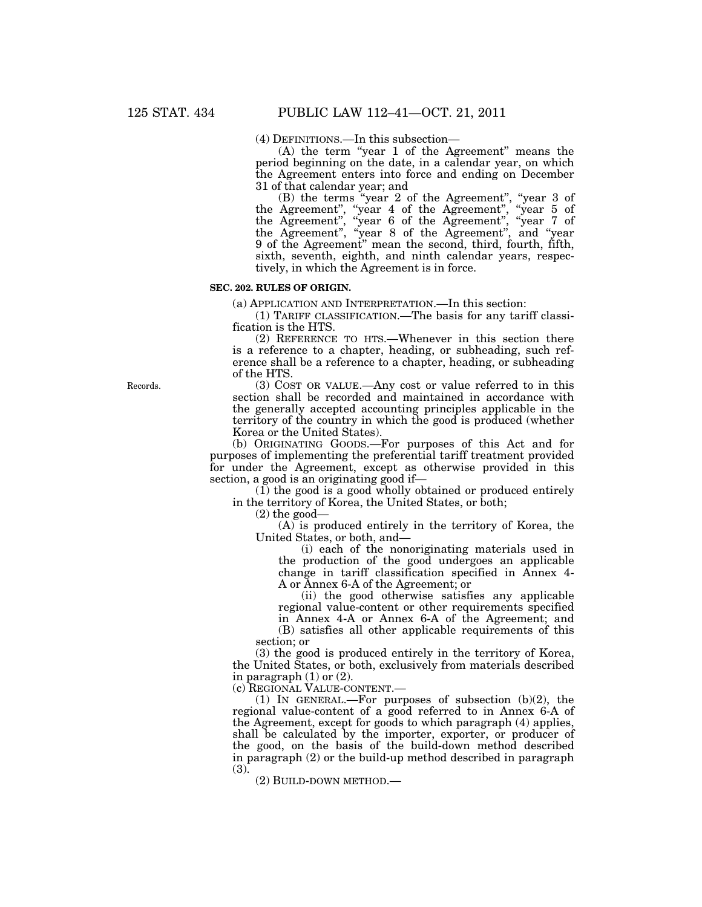(4) DEFINITIONS.—In this subsection—

(A) the term "year 1 of the Agreement" means the period beginning on the date, in a calendar year, on which the Agreement enters into force and ending on December 31 of that calendar year; and

(B) the terms ''year 2 of the Agreement'', ''year 3 of the Agreement", "year 4 of the Agreement", "year 5 of the Agreement'', ''year 6 of the Agreement'', ''year 7 of the Agreement'', ''year 8 of the Agreement'', and ''year 9 of the Agreement'' mean the second, third, fourth, fifth, sixth, seventh, eighth, and ninth calendar years, respectively, in which the Agreement is in force.

#### **SEC. 202. RULES OF ORIGIN.**

(a) APPLICATION AND INTERPRETATION.—In this section:

(1) TARIFF CLASSIFICATION.—The basis for any tariff classification is the HTS.

(2) REFERENCE TO HTS.—Whenever in this section there is a reference to a chapter, heading, or subheading, such reference shall be a reference to a chapter, heading, or subheading of the HTS.

(3) COST OR VALUE.—Any cost or value referred to in this section shall be recorded and maintained in accordance with the generally accepted accounting principles applicable in the territory of the country in which the good is produced (whether Korea or the United States).

(b) ORIGINATING GOODS.—For purposes of this Act and for purposes of implementing the preferential tariff treatment provided for under the Agreement, except as otherwise provided in this section, a good is an originating good if—

(1) the good is a good wholly obtained or produced entirely in the territory of Korea, the United States, or both;

 $(2)$  the good—

(A) is produced entirely in the territory of Korea, the United States, or both, and—

(i) each of the nonoriginating materials used in the production of the good undergoes an applicable change in tariff classification specified in Annex 4- A or Annex 6-A of the Agreement; or

(ii) the good otherwise satisfies any applicable regional value-content or other requirements specified in Annex 4-A or Annex 6-A of the Agreement; and

(B) satisfies all other applicable requirements of this section; or

(3) the good is produced entirely in the territory of Korea, the United States, or both, exclusively from materials described in paragraph  $(1)$  or  $(2)$ .

(c) REGIONAL VALUE-CONTENT.—

(1) IN GENERAL.—For purposes of subsection (b)(2), the regional value-content of a good referred to in Annex 6-A of the Agreement, except for goods to which paragraph (4) applies, shall be calculated by the importer, exporter, or producer of the good, on the basis of the build-down method described in paragraph (2) or the build-up method described in paragraph (3).

(2) BUILD-DOWN METHOD.—

Records.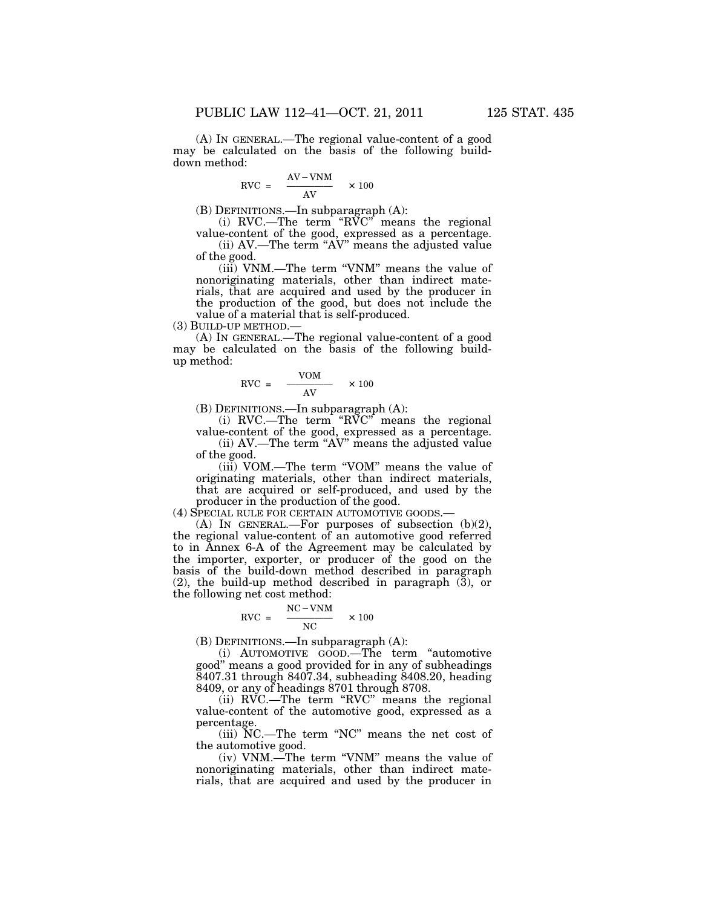(A) IN GENERAL.—The regional value-content of a good may be calculated on the basis of the following builddown method:

$$
RVC = \frac{AV-VNM}{AV} \times 100
$$

(B) DEFINITIONS.—In subparagraph (A):

(i) RVC.—The term " $R\widetilde{V}C$ " means the regional value-content of the good, expressed as a percentage.  $(ii)$  AV.—The term "AV" means the adjusted value

of the good. (iii) VNM.—The term ''VNM'' means the value of

nonoriginating materials, other than indirect materials, that are acquired and used by the producer in the production of the good, but does not include the value of a material that is self-produced.

(3) BUILD-UP METHOD.—

(A) IN GENERAL.—The regional value-content of a good may be calculated on the basis of the following buildup method:

$$
RVC = \frac{VOM}{AV} \times 100
$$

(B) DEFINITIONS.—In subparagraph (A):

(i) RVC.—The term ''RVC'' means the regional value-content of the good, expressed as a percentage.

(ii) AV.—The term ''AV'' means the adjusted value of the good.

(iii) VOM.—The term ''VOM'' means the value of originating materials, other than indirect materials, that are acquired or self-produced, and used by the producer in the production of the good.

(4) SPECIAL RULE FOR CERTAIN AUTOMOTIVE GOODS.—

(A) IN GENERAL.—For purposes of subsection (b)(2), the regional value-content of an automotive good referred to in Annex 6-A of the Agreement may be calculated by the importer, exporter, or producer of the good on the basis of the build-down method described in paragraph (2), the build-up method described in paragraph (3), or the following net cost method:

$$
RVC = \frac{NC - VNM}{NC} \times 100
$$

(B) DEFINITIONS.—In subparagraph (A):

(i) AUTOMOTIVE GOOD.—The term ''automotive good'' means a good provided for in any of subheadings 8407.31 through 8407.34, subheading 8408.20, heading 8409, or any of headings 8701 through 8708.

(ii) RVC.—The term "RVC" means the regional value-content of the automotive good, expressed as a percentage.

(iii) NC.—The term ''NC'' means the net cost of the automotive good.

(iv) VNM.—The term ''VNM'' means the value of nonoriginating materials, other than indirect materials, that are acquired and used by the producer in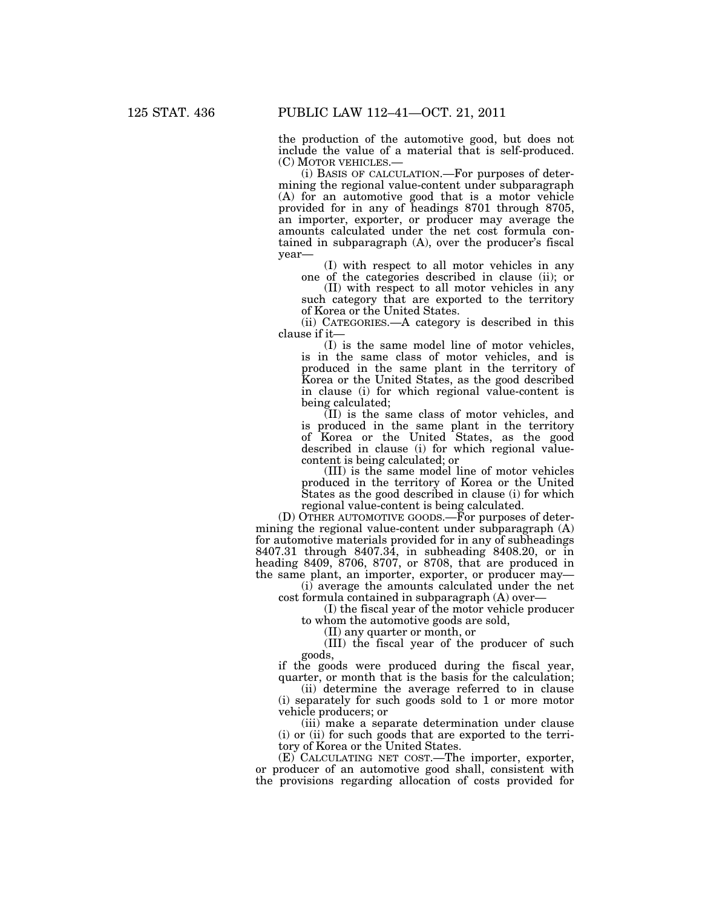the production of the automotive good, but does not include the value of a material that is self-produced. (C) MOTOR VEHICLES.—

(i) BASIS OF CALCULATION.—For purposes of determining the regional value-content under subparagraph (A) for an automotive good that is a motor vehicle provided for in any of headings 8701 through 8705, an importer, exporter, or producer may average the amounts calculated under the net cost formula contained in subparagraph (A), over the producer's fiscal year—

(I) with respect to all motor vehicles in any one of the categories described in clause (ii); or

(II) with respect to all motor vehicles in any such category that are exported to the territory of Korea or the United States.

(ii) CATEGORIES.—A category is described in this clause if it—

(I) is the same model line of motor vehicles, is in the same class of motor vehicles, and is produced in the same plant in the territory of Korea or the United States, as the good described in clause (i) for which regional value-content is being calculated;

(II) is the same class of motor vehicles, and is produced in the same plant in the territory of Korea or the United States, as the good described in clause (i) for which regional valuecontent is being calculated; or

(III) is the same model line of motor vehicles produced in the territory of Korea or the United States as the good described in clause (i) for which regional value-content is being calculated.

(D) OTHER AUTOMOTIVE GOODS.—For purposes of determining the regional value-content under subparagraph (A) for automotive materials provided for in any of subheadings 8407.31 through 8407.34, in subheading 8408.20, or in heading 8409, 8706, 8707, or 8708, that are produced in the same plant, an importer, exporter, or producer may—

(i) average the amounts calculated under the net cost formula contained in subparagraph (A) over—

(I) the fiscal year of the motor vehicle producer to whom the automotive goods are sold,

(II) any quarter or month, or

(III) the fiscal year of the producer of such goods,

if the goods were produced during the fiscal year, quarter, or month that is the basis for the calculation;

(ii) determine the average referred to in clause (i) separately for such goods sold to 1 or more motor vehicle producers; or

(iii) make a separate determination under clause (i) or (ii) for such goods that are exported to the territory of Korea or the United States.

(E) CALCULATING NET COST.—The importer, exporter, or producer of an automotive good shall, consistent with the provisions regarding allocation of costs provided for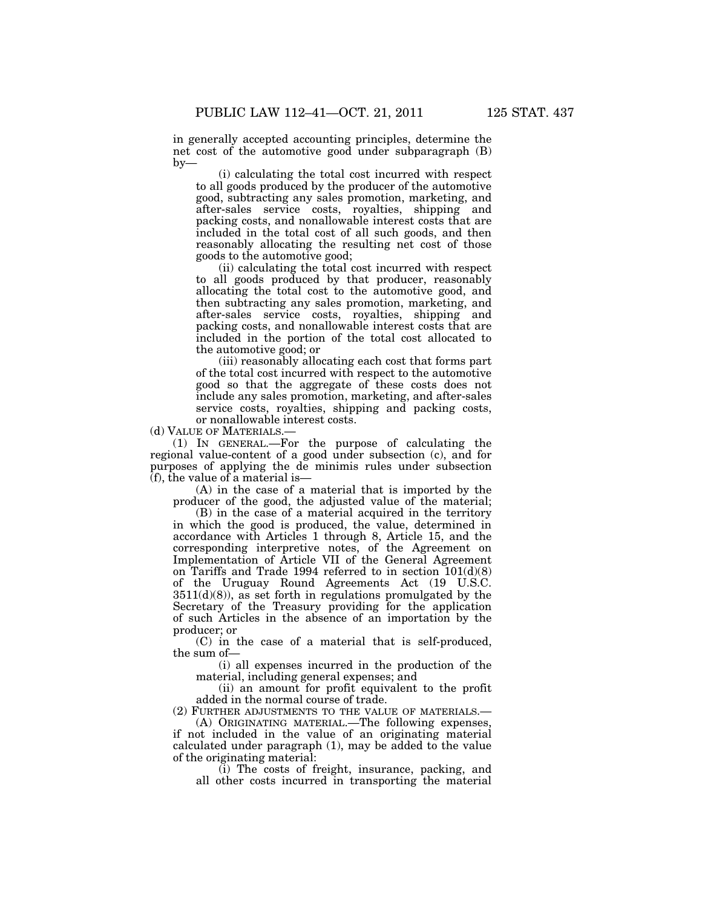in generally accepted accounting principles, determine the net cost of the automotive good under subparagraph (B)

(i) calculating the total cost incurred with respect to all goods produced by the producer of the automotive good, subtracting any sales promotion, marketing, and after-sales service costs, royalties, shipping and packing costs, and nonallowable interest costs that are included in the total cost of all such goods, and then reasonably allocating the resulting net cost of those goods to the automotive good;

(ii) calculating the total cost incurred with respect to all goods produced by that producer, reasonably allocating the total cost to the automotive good, and then subtracting any sales promotion, marketing, and after-sales service costs, royalties, shipping and packing costs, and nonallowable interest costs that are included in the portion of the total cost allocated to the automotive good; or

(iii) reasonably allocating each cost that forms part of the total cost incurred with respect to the automotive good so that the aggregate of these costs does not include any sales promotion, marketing, and after-sales service costs, royalties, shipping and packing costs, or nonallowable interest costs.

(d) VALUE OF MATERIALS.—

 $by-$ 

(1) IN GENERAL.—For the purpose of calculating the regional value-content of a good under subsection (c), and for purposes of applying the de minimis rules under subsection  $(f)$ , the value of a material is—

(A) in the case of a material that is imported by the producer of the good, the adjusted value of the material;

(B) in the case of a material acquired in the territory in which the good is produced, the value, determined in accordance with Articles 1 through 8, Article 15, and the corresponding interpretive notes, of the Agreement on Implementation of Article VII of the General Agreement on Tariffs and Trade 1994 referred to in section 101(d)(8) of the Uruguay Round Agreements Act (19 U.S.C.  $3511(d)(8)$ , as set forth in regulations promulgated by the Secretary of the Treasury providing for the application of such Articles in the absence of an importation by the producer; or

(C) in the case of a material that is self-produced, the sum of—

(i) all expenses incurred in the production of the material, including general expenses; and

(ii) an amount for profit equivalent to the profit added in the normal course of trade.

(2) FURTHER ADJUSTMENTS TO THE VALUE OF MATERIALS.— (A) ORIGINATING MATERIAL.—The following expenses,

if not included in the value of an originating material calculated under paragraph (1), may be added to the value of the originating material:

(i) The costs of freight, insurance, packing, and all other costs incurred in transporting the material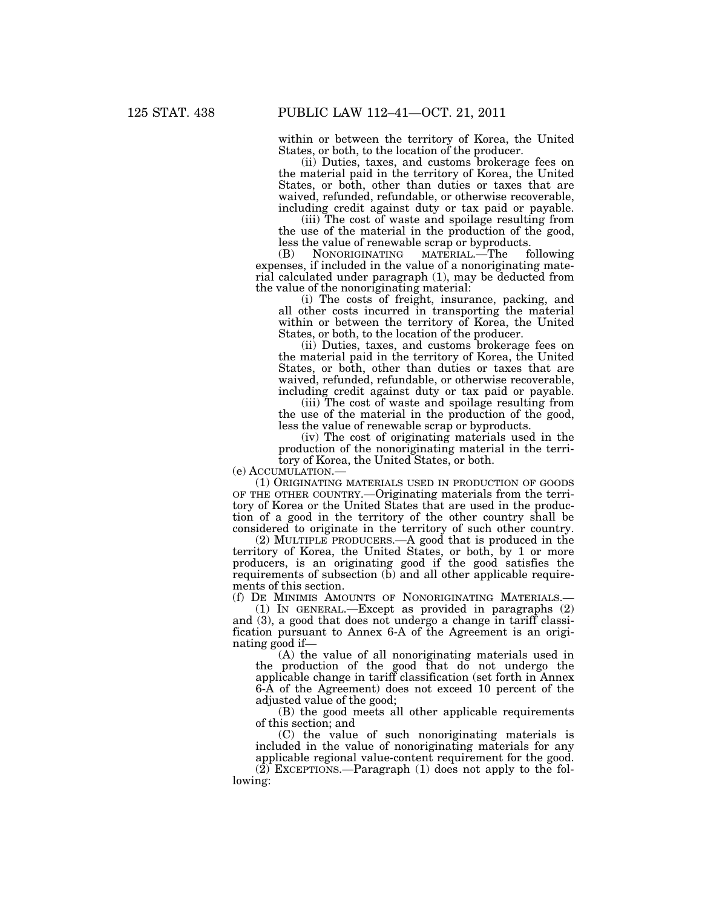within or between the territory of Korea, the United States, or both, to the location of the producer.

(ii) Duties, taxes, and customs brokerage fees on the material paid in the territory of Korea, the United States, or both, other than duties or taxes that are waived, refunded, refundable, or otherwise recoverable, including credit against duty or tax paid or payable.

(iii) The cost of waste and spoilage resulting from the use of the material in the production of the good,

less the value of renewable scrap or byproducts.<br>(B) NONORIGINATING MATERIAL.—The following (B) NONORIGINATING MATERIAL.—The expenses, if included in the value of a nonoriginating material calculated under paragraph (1), may be deducted from the value of the nonoriginating material:

(i) The costs of freight, insurance, packing, and all other costs incurred in transporting the material within or between the territory of Korea, the United States, or both, to the location of the producer.

(ii) Duties, taxes, and customs brokerage fees on the material paid in the territory of Korea, the United States, or both, other than duties or taxes that are waived, refunded, refundable, or otherwise recoverable, including credit against duty or tax paid or payable.

(iii) The cost of waste and spoilage resulting from the use of the material in the production of the good, less the value of renewable scrap or byproducts.

(iv) The cost of originating materials used in the production of the nonoriginating material in the territory of Korea, the United States, or both.

(e) ACCUMULATION.—

(1) ORIGINATING MATERIALS USED IN PRODUCTION OF GOODS OF THE OTHER COUNTRY.—Originating materials from the territory of Korea or the United States that are used in the production of a good in the territory of the other country shall be considered to originate in the territory of such other country.

(2) MULTIPLE PRODUCERS.—A good that is produced in the territory of Korea, the United States, or both, by 1 or more producers, is an originating good if the good satisfies the requirements of subsection (b) and all other applicable requirements of this section.

(f) DE MINIMIS AMOUNTS OF NONORIGINATING MATERIALS.—

(1) IN GENERAL.—Except as provided in paragraphs (2) and (3), a good that does not undergo a change in tariff classification pursuant to Annex 6-A of the Agreement is an originating good if—

(A) the value of all nonoriginating materials used in the production of the good that do not undergo the applicable change in tariff classification (set forth in Annex 6-A of the Agreement) does not exceed 10 percent of the adjusted value of the good;

(B) the good meets all other applicable requirements of this section; and

(C) the value of such nonoriginating materials is included in the value of nonoriginating materials for any applicable regional value-content requirement for the good.

 $(2)$  EXCEPTIONS.—Paragraph  $(1)$  does not apply to the following: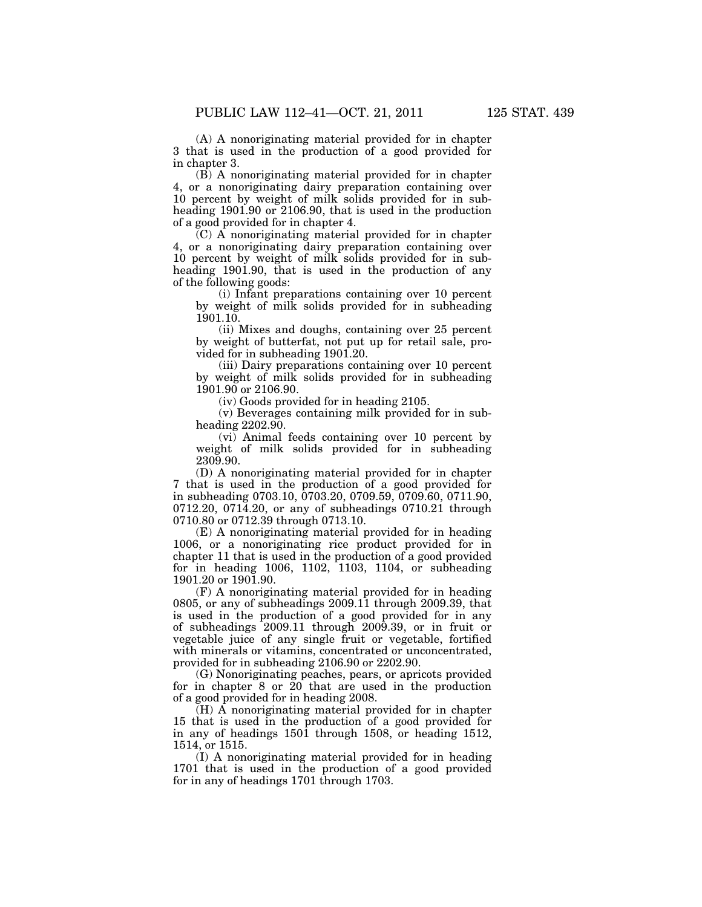(A) A nonoriginating material provided for in chapter 3 that is used in the production of a good provided for in chapter 3.

(B) A nonoriginating material provided for in chapter 4, or a nonoriginating dairy preparation containing over 10 percent by weight of milk solids provided for in subheading 1901.90 or 2106.90, that is used in the production of a good provided for in chapter 4.

(C) A nonoriginating material provided for in chapter 4, or a nonoriginating dairy preparation containing over 10 percent by weight of milk solids provided for in subheading 1901.90, that is used in the production of any of the following goods:

(i) Infant preparations containing over 10 percent by weight of milk solids provided for in subheading 1901.10.

(ii) Mixes and doughs, containing over 25 percent by weight of butterfat, not put up for retail sale, provided for in subheading 1901.20.

(iii) Dairy preparations containing over 10 percent by weight of milk solids provided for in subheading 1901.90 or 2106.90.

(iv) Goods provided for in heading 2105.

(v) Beverages containing milk provided for in subheading 2202.90.

(vi) Animal feeds containing over 10 percent by weight of milk solids provided for in subheading 2309.90.

(D) A nonoriginating material provided for in chapter 7 that is used in the production of a good provided for in subheading 0703.10, 0703.20, 0709.59, 0709.60, 0711.90, 0712.20, 0714.20, or any of subheadings 0710.21 through 0710.80 or 0712.39 through 0713.10.

(E) A nonoriginating material provided for in heading 1006, or a nonoriginating rice product provided for in chapter 11 that is used in the production of a good provided for in heading 1006, 1102, 1103, 1104, or subheading 1901.20 or 1901.90.

(F) A nonoriginating material provided for in heading 0805, or any of subheadings 2009.11 through 2009.39, that is used in the production of a good provided for in any of subheadings 2009.11 through 2009.39, or in fruit or vegetable juice of any single fruit or vegetable, fortified with minerals or vitamins, concentrated or unconcentrated, provided for in subheading 2106.90 or 2202.90.

(G) Nonoriginating peaches, pears, or apricots provided for in chapter 8 or 20 that are used in the production of a good provided for in heading 2008.

(H) A nonoriginating material provided for in chapter 15 that is used in the production of a good provided for in any of headings 1501 through 1508, or heading 1512, 1514, or 1515.

(I) A nonoriginating material provided for in heading 1701 that is used in the production of a good provided for in any of headings 1701 through 1703.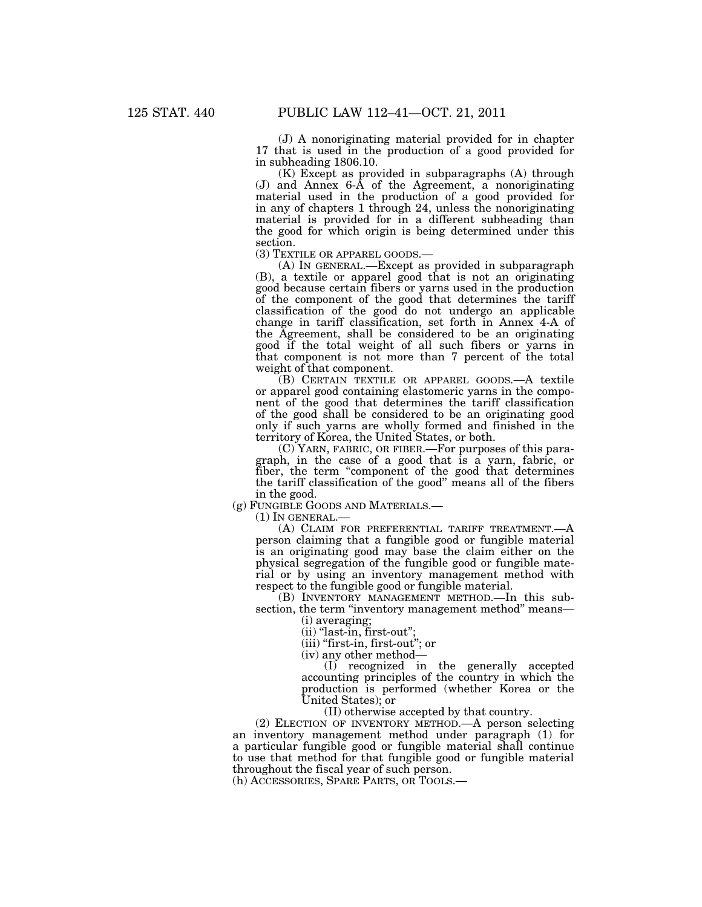(J) A nonoriginating material provided for in chapter 17 that is used in the production of a good provided for in subheading 1806.10.

(K) Except as provided in subparagraphs (A) through (J) and Annex 6-A of the Agreement, a nonoriginating material used in the production of a good provided for in any of chapters 1 through 24, unless the nonoriginating material is provided for in a different subheading than the good for which origin is being determined under this section.<br>(3) TEXTILE OR APPAREL GOODS.—

 $(A)$  In GENERAL.—Except as provided in subparagraph (B), a textile or apparel good that is not an originating good because certain fibers or yarns used in the production of the component of the good that determines the tariff classification of the good do not undergo an applicable change in tariff classification, set forth in Annex 4-A of the Agreement, shall be considered to be an originating good if the total weight of all such fibers or yarns in that component is not more than 7 percent of the total weight of that component.

(B) CERTAIN TEXTILE OR APPAREL GOODS.—A textile or apparel good containing elastomeric yarns in the component of the good that determines the tariff classification of the good shall be considered to be an originating good only if such yarns are wholly formed and finished in the territory of Korea, the United States, or both.

(C) YARN, FABRIC, OR FIBER.—For purposes of this paragraph, in the case of a good that is a yarn, fabric, or fiber, the term "component of the good that determines the tariff classification of the good'' means all of the fibers in the good.

(g) FUNGIBLE GOODS AND MATERIALS.—

 $(1)$  In GENERAL.-

(A) CLAIM FOR PREFERENTIAL TARIFF TREATMENT.—A person claiming that a fungible good or fungible material is an originating good may base the claim either on the physical segregation of the fungible good or fungible material or by using an inventory management method with respect to the fungible good or fungible material.

(B) INVENTORY MANAGEMENT METHOD.—In this subsection, the term "inventory management method" means—

(i) averaging;

 $(ii)$  "last-in, first-out";

(iii) "first-in, first-out"; or

(iv) any other method—

(I) recognized in the generally accepted accounting principles of the country in which the production is performed (whether Korea or the United States); or

(II) otherwise accepted by that country.

(2) ELECTION OF INVENTORY METHOD.—A person selecting an inventory management method under paragraph (1) for a particular fungible good or fungible material shall continue to use that method for that fungible good or fungible material throughout the fiscal year of such person.

(h) ACCESSORIES, SPARE PARTS, OR TOOLS.—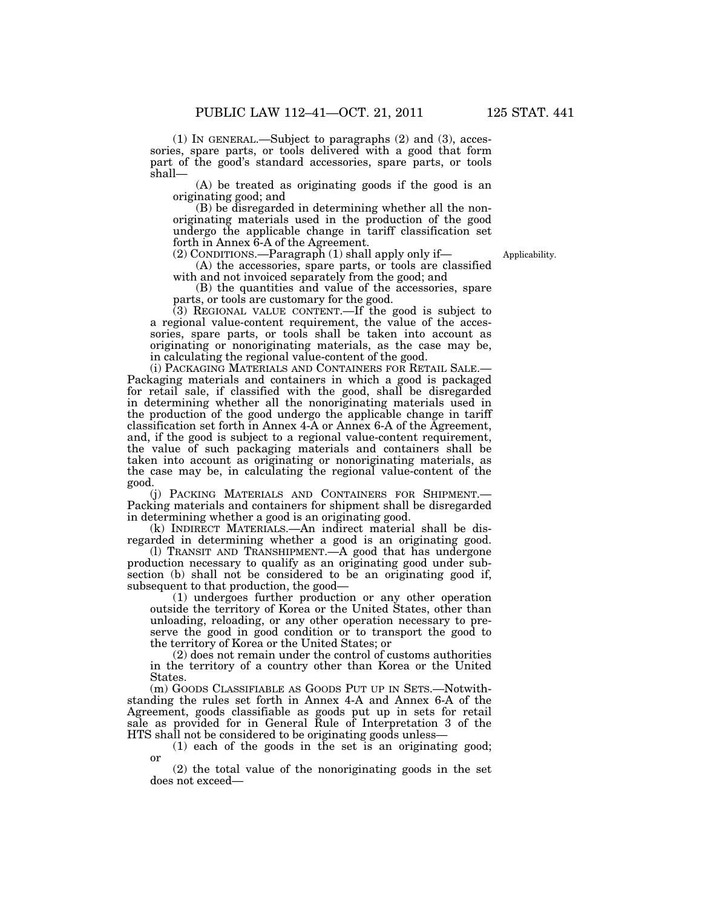(1) IN GENERAL.—Subject to paragraphs (2) and (3), accessories, spare parts, or tools delivered with a good that form part of the good's standard accessories, spare parts, or tools shall—

(A) be treated as originating goods if the good is an originating good; and

(B) be disregarded in determining whether all the nonoriginating materials used in the production of the good undergo the applicable change in tariff classification set forth in Annex 6-A of the Agreement.

(2) CONDITIONS.—Paragraph (1) shall apply only if—

Applicability.

(A) the accessories, spare parts, or tools are classified with and not invoiced separately from the good; and

(B) the quantities and value of the accessories, spare parts, or tools are customary for the good.

(3) REGIONAL VALUE CONTENT.—If the good is subject to a regional value-content requirement, the value of the accessories, spare parts, or tools shall be taken into account as originating or nonoriginating materials, as the case may be, in calculating the regional value-content of the good.

(i) PACKAGING MATERIALS AND CONTAINERS FOR RETAIL SALE.— Packaging materials and containers in which a good is packaged for retail sale, if classified with the good, shall be disregarded in determining whether all the nonoriginating materials used in the production of the good undergo the applicable change in tariff classification set forth in Annex 4-A or Annex 6-A of the Agreement, and, if the good is subject to a regional value-content requirement, the value of such packaging materials and containers shall be taken into account as originating or nonoriginating materials, as the case may be, in calculating the regional value-content of the good.

(j) PACKING MATERIALS AND CONTAINERS FOR SHIPMENT.— Packing materials and containers for shipment shall be disregarded in determining whether a good is an originating good.

(k) INDIRECT MATERIALS.—An indirect material shall be disregarded in determining whether a good is an originating good.

(l) TRANSIT AND TRANSHIPMENT.—A good that has undergone production necessary to qualify as an originating good under subsection (b) shall not be considered to be an originating good if, subsequent to that production, the good—

(1) undergoes further production or any other operation outside the territory of Korea or the United States, other than unloading, reloading, or any other operation necessary to preserve the good in good condition or to transport the good to the territory of Korea or the United States; or

(2) does not remain under the control of customs authorities in the territory of a country other than Korea or the United States.

(m) GOODS CLASSIFIABLE AS GOODS PUT UP IN SETS.—Notwithstanding the rules set forth in Annex 4-A and Annex 6-A of the Agreement, goods classifiable as goods put up in sets for retail sale as provided for in General Rule of Interpretation 3 of the HTS shall not be considered to be originating goods unless—

(1) each of the goods in the set is an originating good; or

(2) the total value of the nonoriginating goods in the set does not exceed—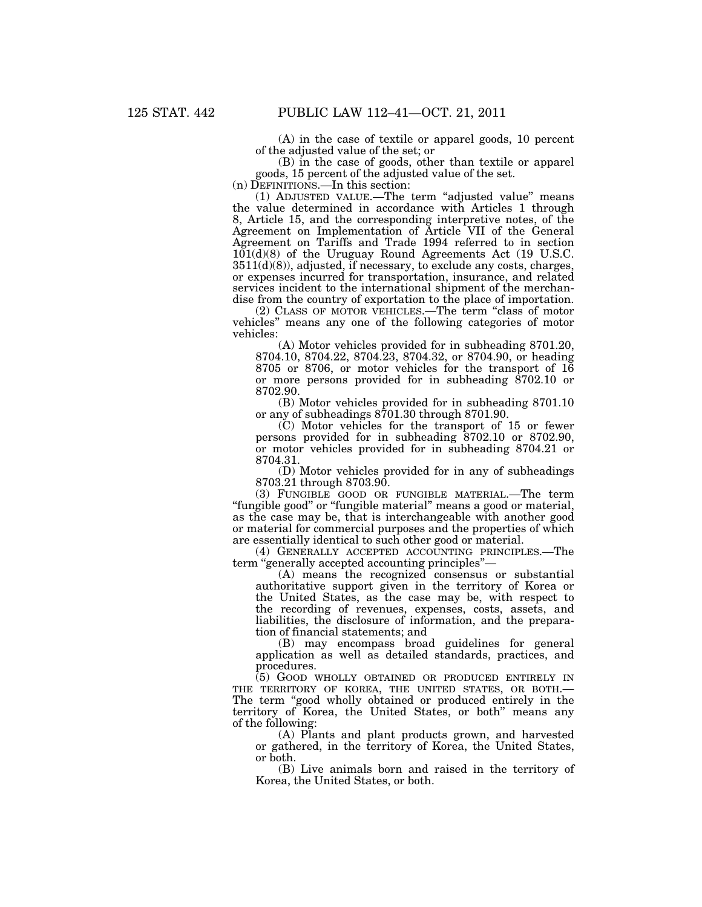(A) in the case of textile or apparel goods, 10 percent of the adjusted value of the set; or

(B) in the case of goods, other than textile or apparel goods, 15 percent of the adjusted value of the set.

(n) DEFINITIONS.—In this section:

(1) ADJUSTED VALUE.—The term ''adjusted value'' means the value determined in accordance with Articles 1 through 8, Article 15, and the corresponding interpretive notes, of the Agreement on Implementation of Article VII of the General Agreement on Tariffs and Trade 1994 referred to in section 101(d)(8) of the Uruguay Round Agreements Act (19 U.S.C.  $3511(d)(8)$ , adjusted, if necessary, to exclude any costs, charges, or expenses incurred for transportation, insurance, and related services incident to the international shipment of the merchandise from the country of exportation to the place of importation.

(2) CLASS OF MOTOR VEHICLES.—The term ''class of motor vehicles'' means any one of the following categories of motor vehicles:

(A) Motor vehicles provided for in subheading 8701.20, 8704.10, 8704.22, 8704.23, 8704.32, or 8704.90, or heading 8705 or 8706, or motor vehicles for the transport of 16 or more persons provided for in subheading 8702.10 or 8702.90.

(B) Motor vehicles provided for in subheading 8701.10 or any of subheadings 8701.30 through 8701.90.

(C) Motor vehicles for the transport of 15 or fewer persons provided for in subheading 8702.10 or 8702.90, or motor vehicles provided for in subheading 8704.21 or 8704.31.

(D) Motor vehicles provided for in any of subheadings 8703.21 through 8703.90.

(3) FUNGIBLE GOOD OR FUNGIBLE MATERIAL.—The term ''fungible good'' or ''fungible material'' means a good or material, as the case may be, that is interchangeable with another good or material for commercial purposes and the properties of which are essentially identical to such other good or material.

(4) GENERALLY ACCEPTED ACCOUNTING PRINCIPLES.—The term ''generally accepted accounting principles''—

(A) means the recognized consensus or substantial authoritative support given in the territory of Korea or the United States, as the case may be, with respect to the recording of revenues, expenses, costs, assets, and liabilities, the disclosure of information, and the preparation of financial statements; and

(B) may encompass broad guidelines for general application as well as detailed standards, practices, and procedures.

(5) GOOD WHOLLY OBTAINED OR PRODUCED ENTIRELY IN THE TERRITORY OF KOREA, THE UNITED STATES, OR BOTH.— The term "good wholly obtained or produced entirely in the territory of Korea, the United States, or both'' means any of the following:

(A) Plants and plant products grown, and harvested or gathered, in the territory of Korea, the United States, or both.

(B) Live animals born and raised in the territory of Korea, the United States, or both.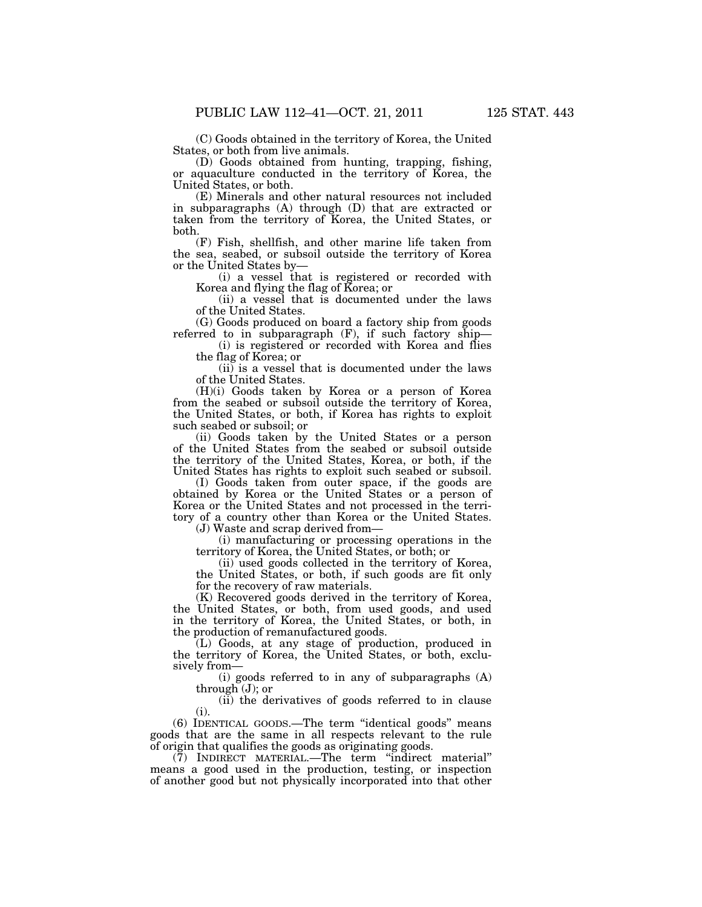(C) Goods obtained in the territory of Korea, the United States, or both from live animals.

(D) Goods obtained from hunting, trapping, fishing, or aquaculture conducted in the territory of Korea, the United States, or both.

(E) Minerals and other natural resources not included in subparagraphs (A) through (D) that are extracted or taken from the territory of Korea, the United States, or both.

(F) Fish, shellfish, and other marine life taken from the sea, seabed, or subsoil outside the territory of Korea or the United States by—

(i) a vessel that is registered or recorded with Korea and flying the flag of Korea; or

(ii) a vessel that is documented under the laws of the United States.

(G) Goods produced on board a factory ship from goods referred to in subparagraph (F), if such factory ship—

(i) is registered or recorded with Korea and flies the flag of Korea; or

(ii) is a vessel that is documented under the laws of the United States.

(H)(i) Goods taken by Korea or a person of Korea from the seabed or subsoil outside the territory of Korea, the United States, or both, if Korea has rights to exploit such seabed or subsoil; or

(ii) Goods taken by the United States or a person of the United States from the seabed or subsoil outside the territory of the United States, Korea, or both, if the United States has rights to exploit such seabed or subsoil.

(I) Goods taken from outer space, if the goods are obtained by Korea or the United States or a person of Korea or the United States and not processed in the territory of a country other than Korea or the United States.

(J) Waste and scrap derived from—

(i) manufacturing or processing operations in the territory of Korea, the United States, or both; or

(ii) used goods collected in the territory of Korea, the United States, or both, if such goods are fit only for the recovery of raw materials.

(K) Recovered goods derived in the territory of Korea, the United States, or both, from used goods, and used in the territory of Korea, the United States, or both, in the production of remanufactured goods.

(L) Goods, at any stage of production, produced in the territory of Korea, the United States, or both, exclusively from—

(i) goods referred to in any of subparagraphs (A) through (J); or

(ii) the derivatives of goods referred to in clause (i).

(6) IDENTICAL GOODS.—The term ''identical goods'' means goods that are the same in all respects relevant to the rule of origin that qualifies the goods as originating goods.

(7) INDIRECT MATERIAL.—The term ''indirect material'' means a good used in the production, testing, or inspection of another good but not physically incorporated into that other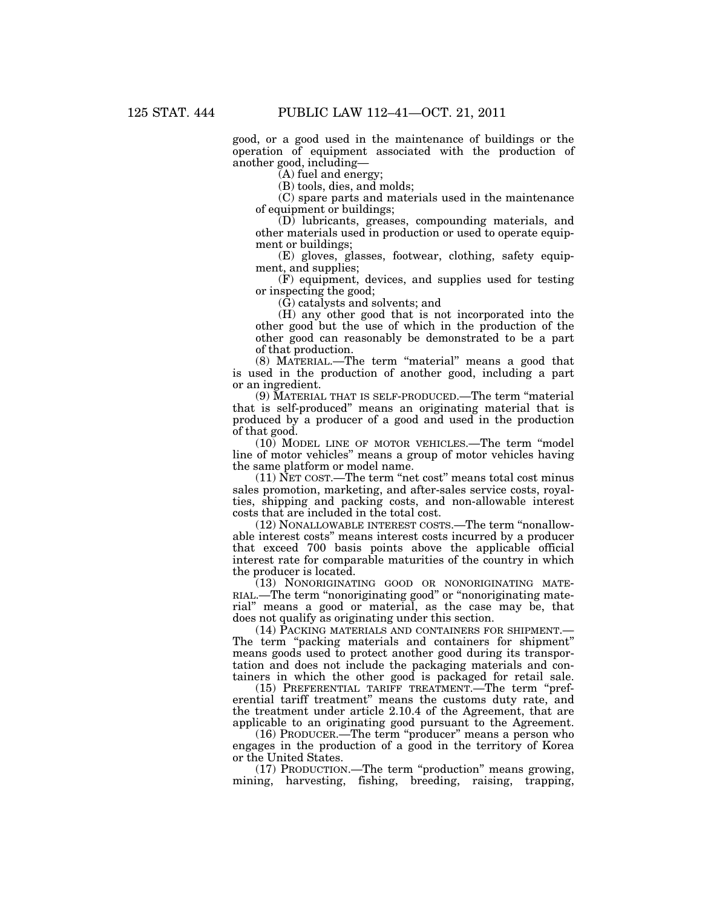good, or a good used in the maintenance of buildings or the operation of equipment associated with the production of another good, including—

(A) fuel and energy;

(B) tools, dies, and molds;

(C) spare parts and materials used in the maintenance of equipment or buildings;

(D) lubricants, greases, compounding materials, and other materials used in production or used to operate equipment or buildings;

(E) gloves, glasses, footwear, clothing, safety equipment, and supplies;

(F) equipment, devices, and supplies used for testing or inspecting the good;

(G) catalysts and solvents; and

(H) any other good that is not incorporated into the other good but the use of which in the production of the other good can reasonably be demonstrated to be a part of that production.

(8) MATERIAL.—The term ''material'' means a good that is used in the production of another good, including a part or an ingredient.

(9) MATERIAL THAT IS SELF-PRODUCED.—The term ''material that is self-produced'' means an originating material that is produced by a producer of a good and used in the production of that good.

(10) MODEL LINE OF MOTOR VEHICLES.—The term ''model line of motor vehicles'' means a group of motor vehicles having the same platform or model name.

(11) NET COST.—The term ''net cost'' means total cost minus sales promotion, marketing, and after-sales service costs, royalties, shipping and packing costs, and non-allowable interest costs that are included in the total cost.

(12) NONALLOWABLE INTEREST COSTS.—The term ''nonallowable interest costs'' means interest costs incurred by a producer that exceed 700 basis points above the applicable official interest rate for comparable maturities of the country in which the producer is located.

(13) NONORIGINATING GOOD OR NONORIGINATING MATE-RIAL.—The term "nonoriginating good" or "nonoriginating material'' means a good or material, as the case may be, that does not qualify as originating under this section.

(14) PACKING MATERIALS AND CONTAINERS FOR SHIPMENT.— The term "packing materials and containers for shipment" means goods used to protect another good during its transportation and does not include the packaging materials and containers in which the other good is packaged for retail sale.

(15) PREFERENTIAL TARIFF TREATMENT.—The term ''preferential tariff treatment'' means the customs duty rate, and the treatment under article 2.10.4 of the Agreement, that are applicable to an originating good pursuant to the Agreement.

(16) PRODUCER.—The term ''producer'' means a person who engages in the production of a good in the territory of Korea or the United States.

(17) PRODUCTION.—The term ''production'' means growing, mining, harvesting, fishing, breeding, raising, trapping,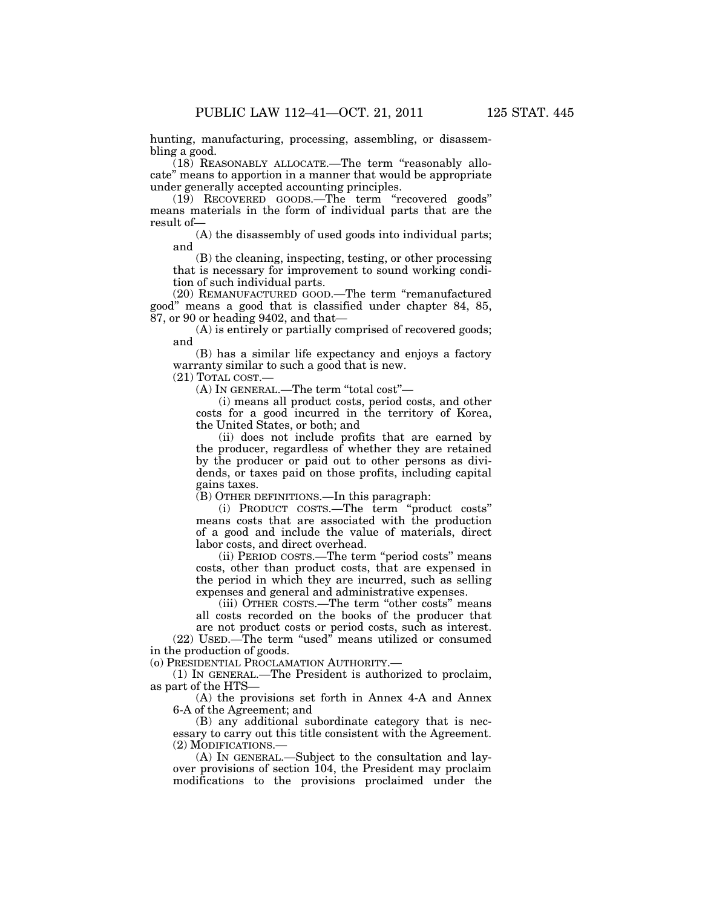hunting, manufacturing, processing, assembling, or disassembling a good.

 $(18)$  REASONABLY ALLOCATE.—The term "reasonably allocate'' means to apportion in a manner that would be appropriate under generally accepted accounting principles.

(19) RECOVERED GOODS.—The term ''recovered goods'' means materials in the form of individual parts that are the result of—

(A) the disassembly of used goods into individual parts; and

(B) the cleaning, inspecting, testing, or other processing that is necessary for improvement to sound working condition of such individual parts.

(20) REMANUFACTURED GOOD.—The term ''remanufactured good'' means a good that is classified under chapter 84, 85, 87, or 90 or heading 9402, and that—

(A) is entirely or partially comprised of recovered goods; and

(B) has a similar life expectancy and enjoys a factory warranty similar to such a good that is new.

(21) TOTAL COST.—

(A) IN GENERAL.—The term ''total cost''—

(i) means all product costs, period costs, and other costs for a good incurred in the territory of Korea, the United States, or both; and

(ii) does not include profits that are earned by the producer, regardless of whether they are retained by the producer or paid out to other persons as dividends, or taxes paid on those profits, including capital gains taxes.

(B) OTHER DEFINITIONS.—In this paragraph:

(i) PRODUCT COSTS.—The term ''product costs'' means costs that are associated with the production of a good and include the value of materials, direct labor costs, and direct overhead.

(ii) PERIOD COSTS.—The term ''period costs'' means costs, other than product costs, that are expensed in the period in which they are incurred, such as selling expenses and general and administrative expenses.

(iii) OTHER COSTS.—The term ''other costs'' means all costs recorded on the books of the producer that

are not product costs or period costs, such as interest. (22) USED.—The term ''used'' means utilized or consumed in the production of goods.

(o) PRESIDENTIAL PROCLAMATION AUTHORITY.—

(1) IN GENERAL.—The President is authorized to proclaim, as part of the HTS—

(A) the provisions set forth in Annex 4-A and Annex 6-A of the Agreement; and

(B) any additional subordinate category that is necessary to carry out this title consistent with the Agreement. (2) MODIFICATIONS.—

(A) IN GENERAL.—Subject to the consultation and layover provisions of section 104, the President may proclaim modifications to the provisions proclaimed under the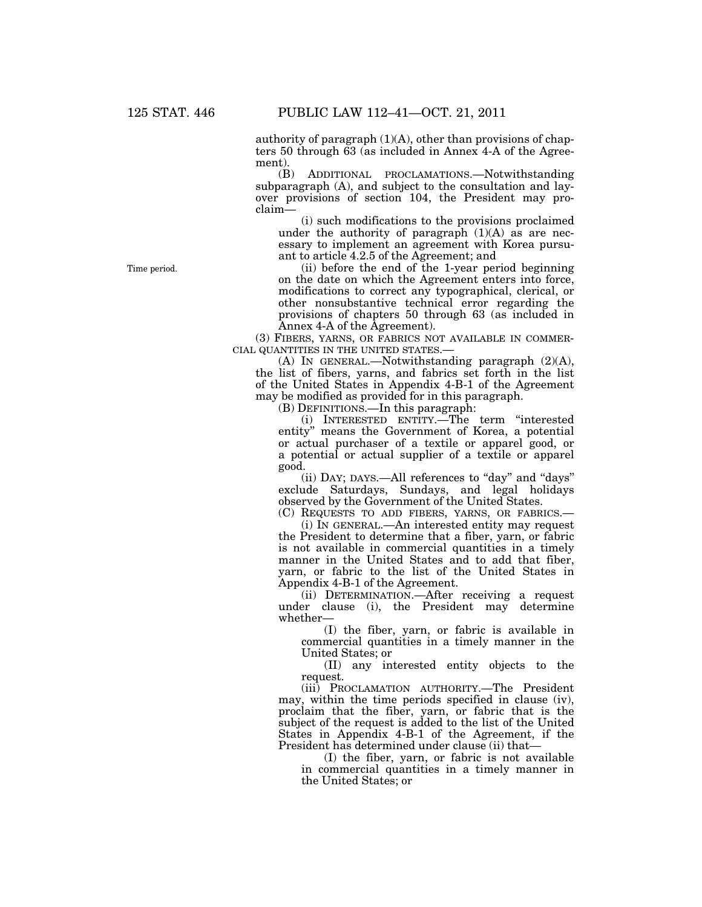authority of paragraph  $(1)(A)$ , other than provisions of chapters 50 through 63 (as included in Annex 4-A of the Agreement).

(B) ADDITIONAL PROCLAMATIONS.—Notwithstanding subparagraph (A), and subject to the consultation and layover provisions of section 104, the President may proclaim—

(i) such modifications to the provisions proclaimed under the authority of paragraph  $(1)(A)$  as are necessary to implement an agreement with Korea pursuant to article 4.2.5 of the Agreement; and

(ii) before the end of the 1-year period beginning on the date on which the Agreement enters into force, modifications to correct any typographical, clerical, or other nonsubstantive technical error regarding the provisions of chapters 50 through 63 (as included in Annex 4-A of the Agreement).

(3) FIBERS, YARNS, OR FABRICS NOT AVAILABLE IN COMMER-CIAL QUANTITIES IN THE UNITED STATES.—

(A) IN GENERAL.—Notwithstanding paragraph (2)(A), the list of fibers, yarns, and fabrics set forth in the list of the United States in Appendix 4-B-1 of the Agreement may be modified as provided for in this paragraph.

(B) DEFINITIONS.—In this paragraph:

(i) INTERESTED ENTITY.—The term ''interested entity'' means the Government of Korea, a potential or actual purchaser of a textile or apparel good, or a potential or actual supplier of a textile or apparel good.

(ii) DAY; DAYS.—All references to ''day'' and ''days'' exclude Saturdays, Sundays, and legal holidays observed by the Government of the United States.

(C) REQUESTS TO ADD FIBERS, YARNS, OR FABRICS.—

(i) IN GENERAL.—An interested entity may request the President to determine that a fiber, yarn, or fabric is not available in commercial quantities in a timely manner in the United States and to add that fiber, yarn, or fabric to the list of the United States in Appendix 4-B-1 of the Agreement.

(ii) DETERMINATION.—After receiving a request under clause (i), the President may determine whether—

(I) the fiber, yarn, or fabric is available in commercial quantities in a timely manner in the United States; or

(II) any interested entity objects to the request.

(iii) PROCLAMATION AUTHORITY.—The President may, within the time periods specified in clause (iv), proclaim that the fiber, yarn, or fabric that is the subject of the request is added to the list of the United States in Appendix 4-B-1 of the Agreement, if the President has determined under clause (ii) that—

(I) the fiber, yarn, or fabric is not available in commercial quantities in a timely manner in the United States; or

Time period.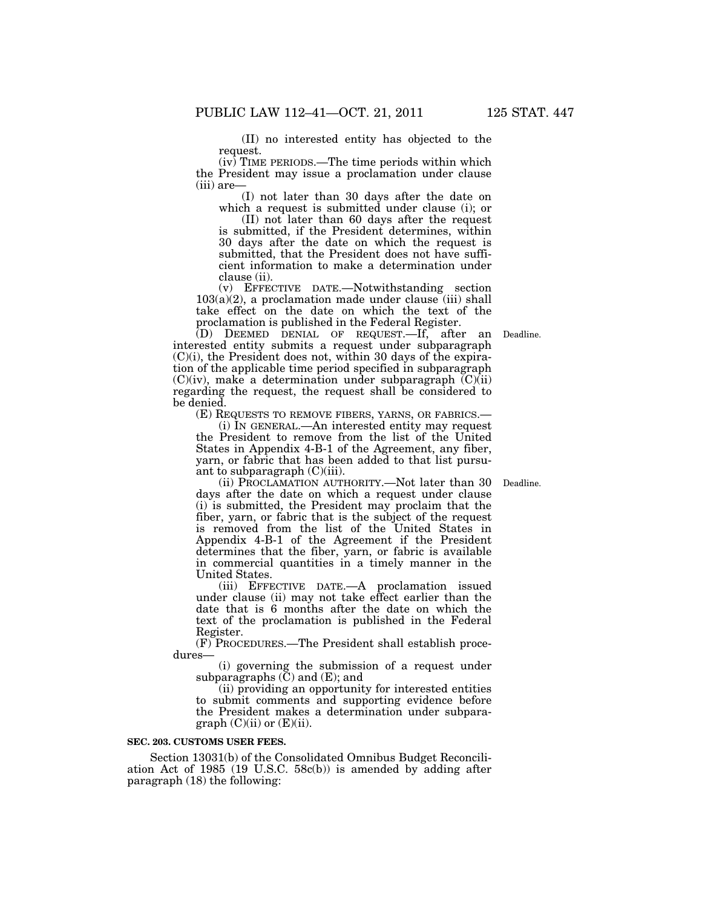(II) no interested entity has objected to the request.

(iv) TIME PERIODS.—The time periods within which the President may issue a proclamation under clause (iii) are—

(I) not later than 30 days after the date on which a request is submitted under clause (i); or

(II) not later than 60 days after the request is submitted, if the President determines, within 30 days after the date on which the request is submitted, that the President does not have sufficient information to make a determination under clause (ii).

(v) EFFECTIVE DATE.—Notwithstanding section  $103(a)(2)$ , a proclamation made under clause (iii) shall take effect on the date on which the text of the proclamation is published in the Federal Register.

(D) DEEMED DENIAL OF REQUEST.—If, after an Deadline. interested entity submits a request under subparagraph (C)(i), the President does not, within 30 days of the expiration of the applicable time period specified in subparagraph  $(C)(iv)$ , make a determination under subparagraph  $(C)(ii)$ regarding the request, the request shall be considered to be denied.

(E) REQUESTS TO REMOVE FIBERS, YARNS, OR FABRICS.—

(i) IN GENERAL.—An interested entity may request the President to remove from the list of the United States in Appendix 4-B-1 of the Agreement, any fiber, yarn, or fabric that has been added to that list pursuant to subparagraph (C)(iii).

(ii) PROCLAMATION AUTHORITY.—Not later than 30 days after the date on which a request under clause (i) is submitted, the President may proclaim that the fiber, yarn, or fabric that is the subject of the request is removed from the list of the United States in Appendix 4-B-1 of the Agreement if the President determines that the fiber, yarn, or fabric is available in commercial quantities in a timely manner in the United States.

(iii) EFFECTIVE DATE.—A proclamation issued under clause (ii) may not take effect earlier than the date that is 6 months after the date on which the text of the proclamation is published in the Federal Register.

(F) PROCEDURES.—The President shall establish procedures—

(i) governing the submission of a request under subparagraphs  $(\check{C})$  and  $(E)$ ; and

(ii) providing an opportunity for interested entities to submit comments and supporting evidence before the President makes a determination under subparagraph  $(C)(ii)$  or  $(E)(ii)$ .

#### **SEC. 203. CUSTOMS USER FEES.**

Section 13031(b) of the Consolidated Omnibus Budget Reconciliation Act of 1985 (19 U.S.C. 58c(b)) is amended by adding after paragraph (18) the following:

Deadline.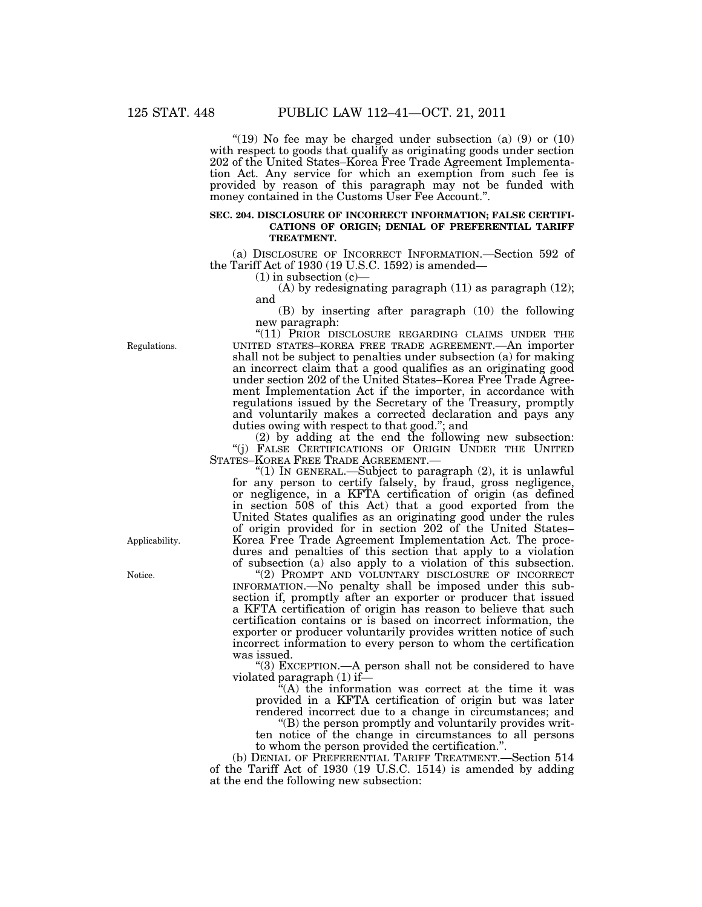"(19) No fee may be charged under subsection (a)  $(9)$  or  $(10)$ with respect to goods that qualify as originating goods under section 202 of the United States–Korea Free Trade Agreement Implementation Act. Any service for which an exemption from such fee is provided by reason of this paragraph may not be funded with money contained in the Customs User Fee Account.''.

#### **SEC. 204. DISCLOSURE OF INCORRECT INFORMATION; FALSE CERTIFI-CATIONS OF ORIGIN; DENIAL OF PREFERENTIAL TARIFF TREATMENT.**

(a) DISCLOSURE OF INCORRECT INFORMATION.—Section 592 of the Tariff Act of 1930 (19 U.S.C. 1592) is amended—

 $(1)$  in subsection  $(c)$ 

(A) by redesignating paragraph (11) as paragraph (12); and

(B) by inserting after paragraph (10) the following new paragraph:

"(11) PRIOR DISCLOSURE REGARDING CLAIMS UNDER THE UNITED STATES–KOREA FREE TRADE AGREEMENT.—An importer shall not be subject to penalties under subsection (a) for making an incorrect claim that a good qualifies as an originating good under section 202 of the United States–Korea Free Trade Agreement Implementation Act if the importer, in accordance with regulations issued by the Secretary of the Treasury, promptly and voluntarily makes a corrected declaration and pays any duties owing with respect to that good.''; and

(2) by adding at the end the following new subsection: ''(j) FALSE CERTIFICATIONS OF ORIGIN UNDER THE UNITED STATES–KOREA FREE TRADE AGREEMENT.—

"(1) IN GENERAL.—Subject to paragraph  $(2)$ , it is unlawful for any person to certify falsely, by fraud, gross negligence, or negligence, in a KFTA certification of origin (as defined in section 508 of this Act) that a good exported from the United States qualifies as an originating good under the rules of origin provided for in section 202 of the United States– Korea Free Trade Agreement Implementation Act. The procedures and penalties of this section that apply to a violation of subsection (a) also apply to a violation of this subsection.

''(2) PROMPT AND VOLUNTARY DISCLOSURE OF INCORRECT INFORMATION.—No penalty shall be imposed under this subsection if, promptly after an exporter or producer that issued a KFTA certification of origin has reason to believe that such certification contains or is based on incorrect information, the exporter or producer voluntarily provides written notice of such incorrect information to every person to whom the certification was issued.

''(3) EXCEPTION.—A person shall not be considered to have violated paragraph (1) if—

''(A) the information was correct at the time it was provided in a KFTA certification of origin but was later rendered incorrect due to a change in circumstances; and

''(B) the person promptly and voluntarily provides written notice of the change in circumstances to all persons to whom the person provided the certification.''.

(b) DENIAL OF PREFERENTIAL TARIFF TREATMENT.—Section 514 of the Tariff Act of 1930 (19 U.S.C. 1514) is amended by adding at the end the following new subsection:

Regulations.

Applicability.

Notice.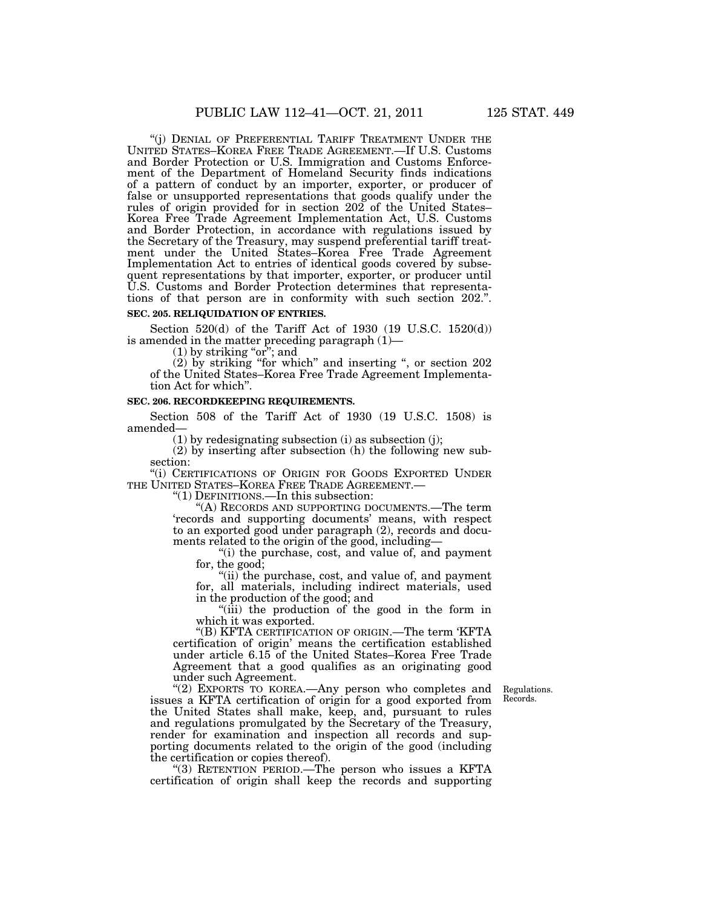"(j) DENIAL OF PREFERENTIAL TARIFF TREATMENT UNDER THE UNITED STATES–KOREA FREE TRADE AGREEMENT.—If U.S. Customs and Border Protection or U.S. Immigration and Customs Enforcement of the Department of Homeland Security finds indications of a pattern of conduct by an importer, exporter, or producer of false or unsupported representations that goods qualify under the rules of origin provided for in section 202 of the United States– Korea Free Trade Agreement Implementation Act, U.S. Customs and Border Protection, in accordance with regulations issued by the Secretary of the Treasury, may suspend preferential tariff treatment under the United States–Korea Free Trade Agreement Implementation Act to entries of identical goods covered by subsequent representations by that importer, exporter, or producer until U.S. Customs and Border Protection determines that representations of that person are in conformity with such section 202.''.

#### **SEC. 205. RELIQUIDATION OF ENTRIES.**

Section  $520(d)$  of the Tariff Act of 1930 (19 U.S.C. 1520(d)) is amended in the matter preceding paragraph (1)—

 $(1)$  by striking "or"; and

(2) by striking ''for which'' and inserting '', or section 202 of the United States–Korea Free Trade Agreement Implementation Act for which''.

#### **SEC. 206. RECORDKEEPING REQUIREMENTS.**

Section 508 of the Tariff Act of 1930 (19 U.S.C. 1508) is amended—

(1) by redesignating subsection (i) as subsection (j);

(2) by inserting after subsection (h) the following new subsection:

''(i) CERTIFICATIONS OF ORIGIN FOR GOODS EXPORTED UNDER THE UNITED STATES–KOREA FREE TRADE AGREEMENT.— ''(1) DEFINITIONS.—In this subsection:

''(A) RECORDS AND SUPPORTING DOCUMENTS.—The term 'records and supporting documents' means, with respect to an exported good under paragraph (2), records and documents related to the origin of the good, including—

"(i) the purchase, cost, and value of, and payment for, the good;

''(ii) the purchase, cost, and value of, and payment for, all materials, including indirect materials, used in the production of the good; and

''(iii) the production of the good in the form in which it was exported.

''(B) KFTA CERTIFICATION OF ORIGIN.—The term 'KFTA certification of origin' means the certification established under article 6.15 of the United States–Korea Free Trade Agreement that a good qualifies as an originating good under such Agreement.

> Regulations. Records.

"(2) EXPORTS TO KOREA.—Any person who completes and issues a KFTA certification of origin for a good exported from the United States shall make, keep, and, pursuant to rules and regulations promulgated by the Secretary of the Treasury, render for examination and inspection all records and supporting documents related to the origin of the good (including the certification or copies thereof).

''(3) RETENTION PERIOD.—The person who issues a KFTA certification of origin shall keep the records and supporting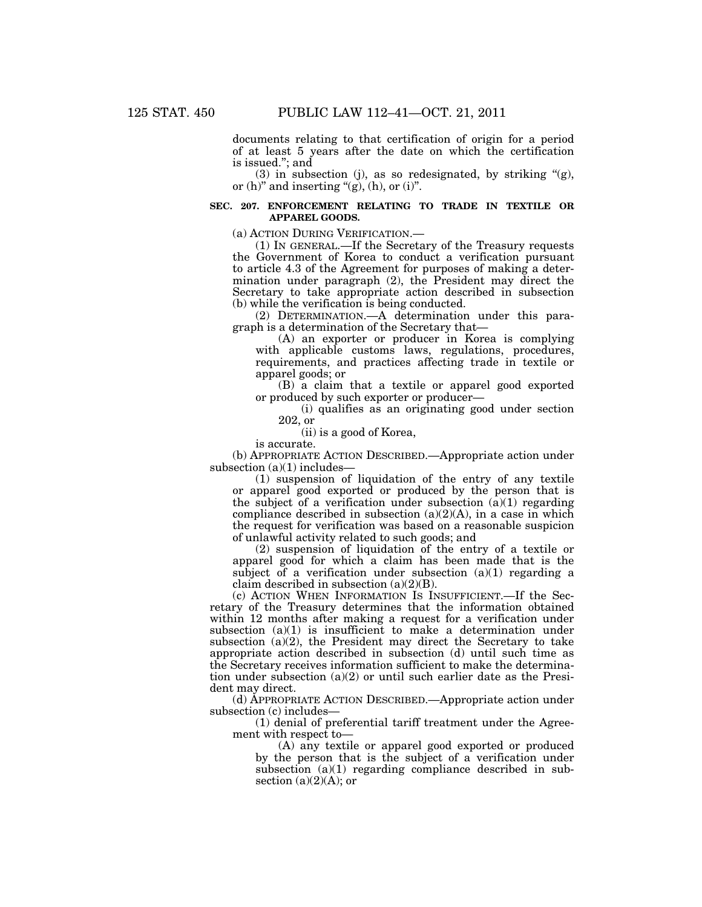documents relating to that certification of origin for a period of at least 5 years after the date on which the certification is issued.''; and

(3) in subsection (j), as so redesignated, by striking  $\mathcal{L}(g)$ , or  $(h)$ " and inserting "(g),  $(h)$ , or  $(i)$ ".

### **SEC. 207. ENFORCEMENT RELATING TO TRADE IN TEXTILE OR APPAREL GOODS.**

(a) ACTION DURING VERIFICATION.—

(1) IN GENERAL.—If the Secretary of the Treasury requests the Government of Korea to conduct a verification pursuant to article 4.3 of the Agreement for purposes of making a determination under paragraph (2), the President may direct the Secretary to take appropriate action described in subsection (b) while the verification is being conducted.

(2) DETERMINATION.—A determination under this paragraph is a determination of the Secretary that—

(A) an exporter or producer in Korea is complying with applicable customs laws, regulations, procedures, requirements, and practices affecting trade in textile or apparel goods; or

(B) a claim that a textile or apparel good exported or produced by such exporter or producer—

(i) qualifies as an originating good under section 202, or

(ii) is a good of Korea,

is accurate.

(b) APPROPRIATE ACTION DESCRIBED.—Appropriate action under subsection  $(a)(1)$  includes—

(1) suspension of liquidation of the entry of any textile or apparel good exported or produced by the person that is the subject of a verification under subsection  $(a)(1)$  regarding compliance described in subsection  $(a)(2)(A)$ , in a case in which the request for verification was based on a reasonable suspicion of unlawful activity related to such goods; and

(2) suspension of liquidation of the entry of a textile or apparel good for which a claim has been made that is the subject of a verification under subsection  $(a)(1)$  regarding a claim described in subsection  $(a)(2)(B)$ .

(c) ACTION WHEN INFORMATION IS INSUFFICIENT.—If the Secretary of the Treasury determines that the information obtained within 12 months after making a request for a verification under subsection  $(a)(1)$  is insufficient to make a determination under subsection (a)(2), the President may direct the Secretary to take appropriate action described in subsection (d) until such time as the Secretary receives information sufficient to make the determination under subsection  $(a)(2)$  or until such earlier date as the President may direct.

(d) APPROPRIATE ACTION DESCRIBED.—Appropriate action under subsection (c) includes—

(1) denial of preferential tariff treatment under the Agreement with respect to—

(A) any textile or apparel good exported or produced by the person that is the subject of a verification under subsection (a)(1) regarding compliance described in subsection  $(a)(2)(A)$ ; or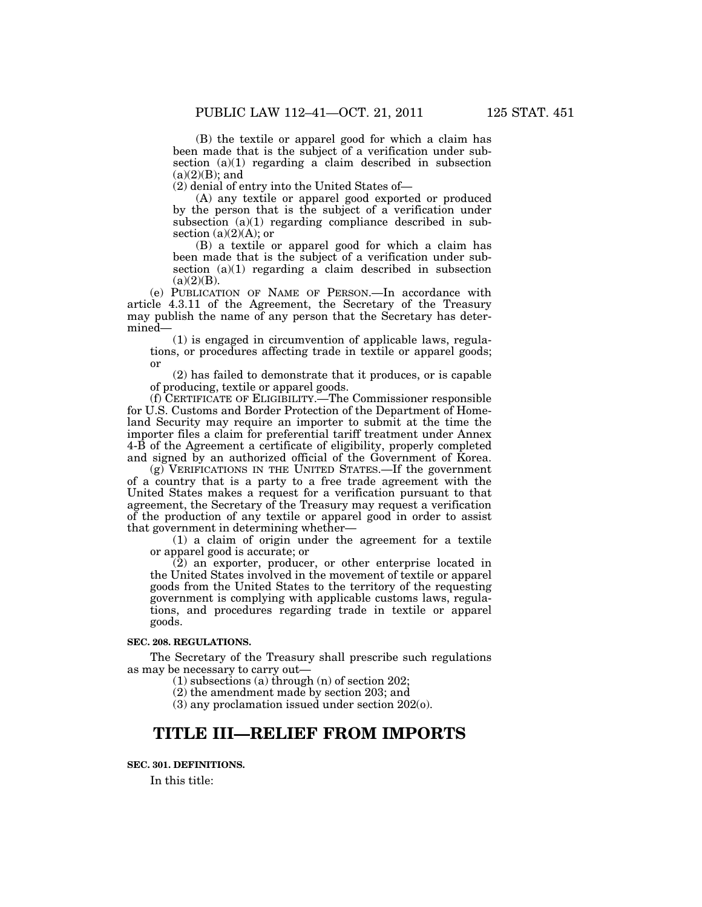(B) the textile or apparel good for which a claim has been made that is the subject of a verification under subsection (a)(1) regarding a claim described in subsection  $(a)(2)(B)$ ; and

(2) denial of entry into the United States of—

(A) any textile or apparel good exported or produced by the person that is the subject of a verification under subsection (a)(1) regarding compliance described in subsection  $(a)(2)(A)$ ; or

(B) a textile or apparel good for which a claim has been made that is the subject of a verification under subsection (a)(1) regarding a claim described in subsection  $(a)(2)(B)$ .

(e) PUBLICATION OF NAME OF PERSON.—In accordance with article 4.3.11 of the Agreement, the Secretary of the Treasury may publish the name of any person that the Secretary has determined—

(1) is engaged in circumvention of applicable laws, regulations, or procedures affecting trade in textile or apparel goods; or

(2) has failed to demonstrate that it produces, or is capable of producing, textile or apparel goods.

(f) CERTIFICATE OF ELIGIBILITY.—The Commissioner responsible for U.S. Customs and Border Protection of the Department of Homeland Security may require an importer to submit at the time the importer files a claim for preferential tariff treatment under Annex 4-B of the Agreement a certificate of eligibility, properly completed and signed by an authorized official of the Government of Korea.

(g) VERIFICATIONS IN THE UNITED STATES.—If the government of a country that is a party to a free trade agreement with the United States makes a request for a verification pursuant to that agreement, the Secretary of the Treasury may request a verification of the production of any textile or apparel good in order to assist that government in determining whether—

(1) a claim of origin under the agreement for a textile or apparel good is accurate; or

(2) an exporter, producer, or other enterprise located in the United States involved in the movement of textile or apparel goods from the United States to the territory of the requesting government is complying with applicable customs laws, regulations, and procedures regarding trade in textile or apparel goods.

## **SEC. 208. REGULATIONS.**

The Secretary of the Treasury shall prescribe such regulations as may be necessary to carry out—

(1) subsections (a) through (n) of section 202;

(2) the amendment made by section 203; and

(3) any proclamation issued under section 202(o).

# **TITLE III—RELIEF FROM IMPORTS**

## **SEC. 301. DEFINITIONS.**

In this title: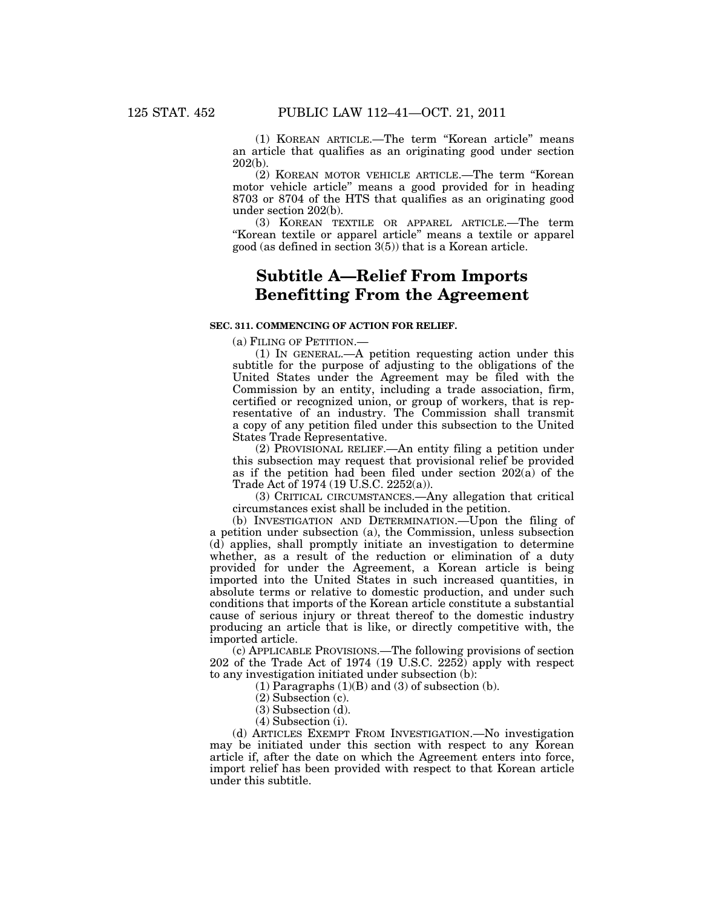(1) KOREAN ARTICLE.—The term ''Korean article'' means an article that qualifies as an originating good under section 202(b).

(2) KOREAN MOTOR VEHICLE ARTICLE.—The term ''Korean motor vehicle article'' means a good provided for in heading 8703 or 8704 of the HTS that qualifies as an originating good under section 202(b).

(3) KOREAN TEXTILE OR APPAREL ARTICLE.—The term ''Korean textile or apparel article'' means a textile or apparel good (as defined in section 3(5)) that is a Korean article.

# **Subtitle A—Relief From Imports Benefitting From the Agreement**

## **SEC. 311. COMMENCING OF ACTION FOR RELIEF.**

(a) FILING OF PETITION.—

(1) IN GENERAL.—A petition requesting action under this subtitle for the purpose of adjusting to the obligations of the United States under the Agreement may be filed with the Commission by an entity, including a trade association, firm, certified or recognized union, or group of workers, that is representative of an industry. The Commission shall transmit a copy of any petition filed under this subsection to the United States Trade Representative.

(2) PROVISIONAL RELIEF.—An entity filing a petition under this subsection may request that provisional relief be provided as if the petition had been filed under section 202(a) of the Trade Act of 1974 (19 U.S.C. 2252(a)).

(3) CRITICAL CIRCUMSTANCES.—Any allegation that critical circumstances exist shall be included in the petition.

(b) INVESTIGATION AND DETERMINATION.—Upon the filing of a petition under subsection (a), the Commission, unless subsection (d) applies, shall promptly initiate an investigation to determine whether, as a result of the reduction or elimination of a duty provided for under the Agreement, a Korean article is being imported into the United States in such increased quantities, in absolute terms or relative to domestic production, and under such conditions that imports of the Korean article constitute a substantial cause of serious injury or threat thereof to the domestic industry producing an article that is like, or directly competitive with, the imported article.

(c) APPLICABLE PROVISIONS.—The following provisions of section 202 of the Trade Act of 1974 (19 U.S.C. 2252) apply with respect to any investigation initiated under subsection (b):

 $(1)$  Paragraphs  $(1)(B)$  and  $(3)$  of subsection  $(b)$ .

- (2) Subsection (c).
- (3) Subsection (d).
- (4) Subsection (i).

(d) ARTICLES EXEMPT FROM INVESTIGATION.—No investigation may be initiated under this section with respect to any Korean article if, after the date on which the Agreement enters into force, import relief has been provided with respect to that Korean article under this subtitle.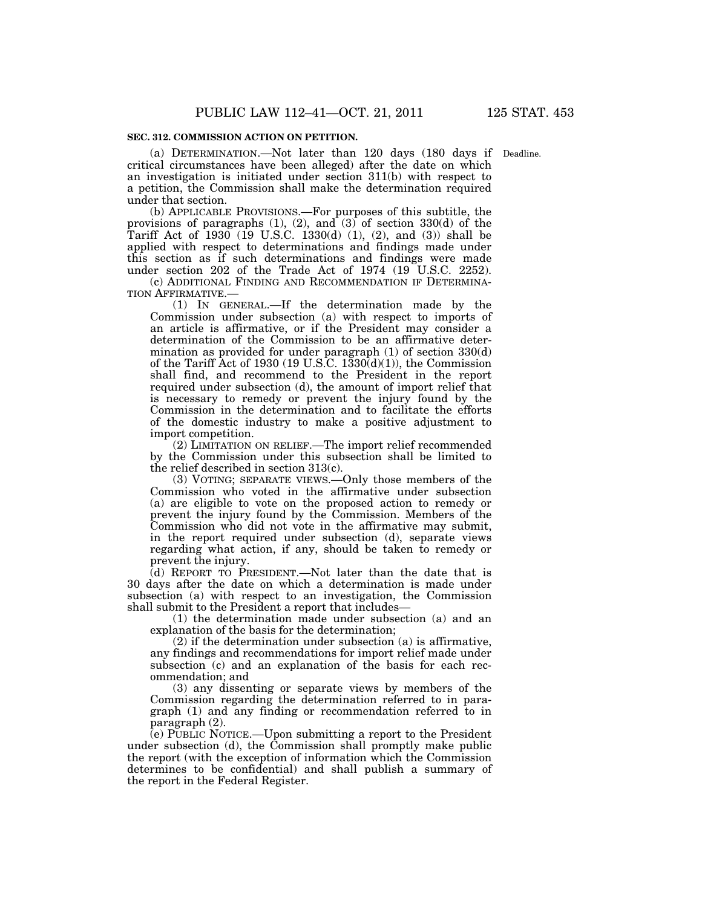#### **SEC. 312. COMMISSION ACTION ON PETITION.**

(a) DETERMINATION.—Not later than 120 days (180 days if Deadline. critical circumstances have been alleged) after the date on which an investigation is initiated under section 311(b) with respect to a petition, the Commission shall make the determination required under that section.

(b) APPLICABLE PROVISIONS.—For purposes of this subtitle, the provisions of paragraphs (1), (2), and (3) of section 330(d) of the Tariff Act of 1930 (19 U.S.C. 1330(d) (1), (2), and (3)) shall be applied with respect to determinations and findings made under this section as if such determinations and findings were made under section 202 of the Trade Act of 1974 (19 U.S.C. 2252).

(c) ADDITIONAL FINDING AND RECOMMENDATION IF DETERMINA-TION AFFIRMATIVE.—

(1) IN GENERAL.—If the determination made by the Commission under subsection (a) with respect to imports of an article is affirmative, or if the President may consider a determination of the Commission to be an affirmative determination as provided for under paragraph (1) of section 330(d) of the Tariff Act of 1930 (19 U.S.C. 1330(d)(1)), the Commission shall find, and recommend to the President in the report required under subsection (d), the amount of import relief that is necessary to remedy or prevent the injury found by the Commission in the determination and to facilitate the efforts of the domestic industry to make a positive adjustment to import competition.

(2) LIMITATION ON RELIEF.—The import relief recommended by the Commission under this subsection shall be limited to the relief described in section 313(c).

(3) VOTING; SEPARATE VIEWS.—Only those members of the Commission who voted in the affirmative under subsection (a) are eligible to vote on the proposed action to remedy or prevent the injury found by the Commission. Members of the Commission who did not vote in the affirmative may submit, in the report required under subsection (d), separate views regarding what action, if any, should be taken to remedy or prevent the injury.

 $(d)$  REPORT TO PRESIDENT.—Not later than the date that is 30 days after the date on which a determination is made under subsection (a) with respect to an investigation, the Commission shall submit to the President a report that includes—

(1) the determination made under subsection (a) and an explanation of the basis for the determination;

(2) if the determination under subsection (a) is affirmative, any findings and recommendations for import relief made under subsection (c) and an explanation of the basis for each recommendation; and

(3) any dissenting or separate views by members of the Commission regarding the determination referred to in paragraph (1) and any finding or recommendation referred to in paragraph (2).

(e) PUBLIC NOTICE.—Upon submitting a report to the President under subsection (d), the Commission shall promptly make public the report (with the exception of information which the Commission determines to be confidential) and shall publish a summary of the report in the Federal Register.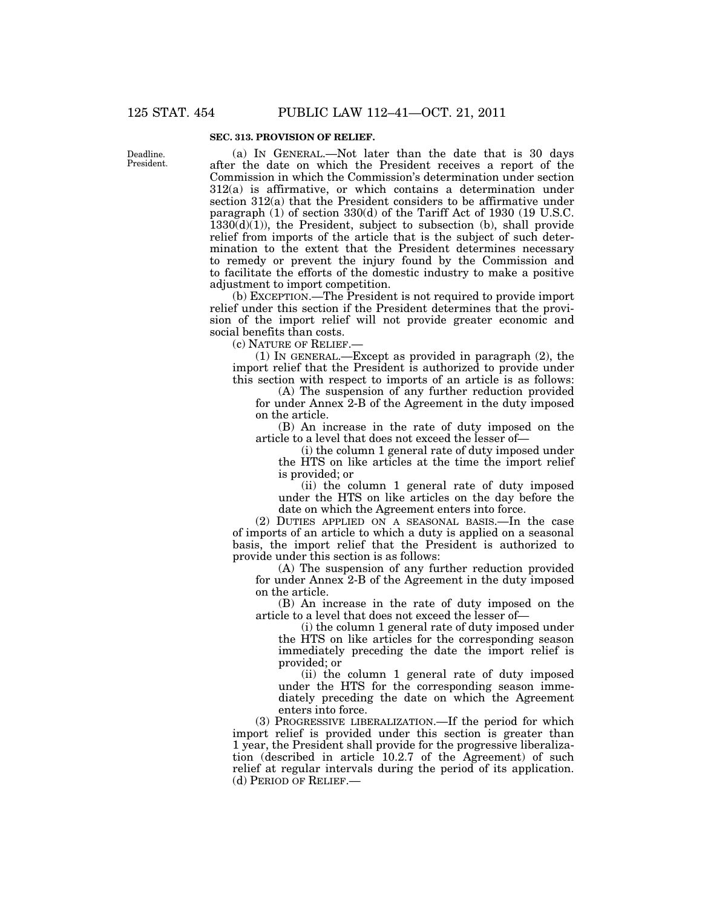### **SEC. 313. PROVISION OF RELIEF.**

Deadline. President.

(a) IN GENERAL.—Not later than the date that is 30 days after the date on which the President receives a report of the Commission in which the Commission's determination under section 312(a) is affirmative, or which contains a determination under section 312(a) that the President considers to be affirmative under paragraph (1) of section 330(d) of the Tariff Act of 1930 (19 U.S.C.  $1330(d)(1)$ , the President, subject to subsection (b), shall provide relief from imports of the article that is the subject of such determination to the extent that the President determines necessary to remedy or prevent the injury found by the Commission and to facilitate the efforts of the domestic industry to make a positive adjustment to import competition.

(b) EXCEPTION.—The President is not required to provide import relief under this section if the President determines that the provision of the import relief will not provide greater economic and social benefits than costs.

(c) NATURE OF RELIEF.—

(1) IN GENERAL.—Except as provided in paragraph (2), the import relief that the President is authorized to provide under this section with respect to imports of an article is as follows:

(A) The suspension of any further reduction provided for under Annex 2-B of the Agreement in the duty imposed on the article.

(B) An increase in the rate of duty imposed on the article to a level that does not exceed the lesser of—

(i) the column 1 general rate of duty imposed under the HTS on like articles at the time the import relief is provided; or

(ii) the column 1 general rate of duty imposed under the HTS on like articles on the day before the date on which the Agreement enters into force.

(2) DUTIES APPLIED ON A SEASONAL BASIS.—In the case of imports of an article to which a duty is applied on a seasonal basis, the import relief that the President is authorized to provide under this section is as follows:

(A) The suspension of any further reduction provided for under Annex 2-B of the Agreement in the duty imposed on the article.

(B) An increase in the rate of duty imposed on the article to a level that does not exceed the lesser of—

(i) the column 1 general rate of duty imposed under the HTS on like articles for the corresponding season immediately preceding the date the import relief is provided; or

(ii) the column 1 general rate of duty imposed under the HTS for the corresponding season immediately preceding the date on which the Agreement enters into force.

(3) PROGRESSIVE LIBERALIZATION.—If the period for which import relief is provided under this section is greater than 1 year, the President shall provide for the progressive liberalization (described in article 10.2.7 of the Agreement) of such relief at regular intervals during the period of its application. (d) PERIOD OF RELIEF.—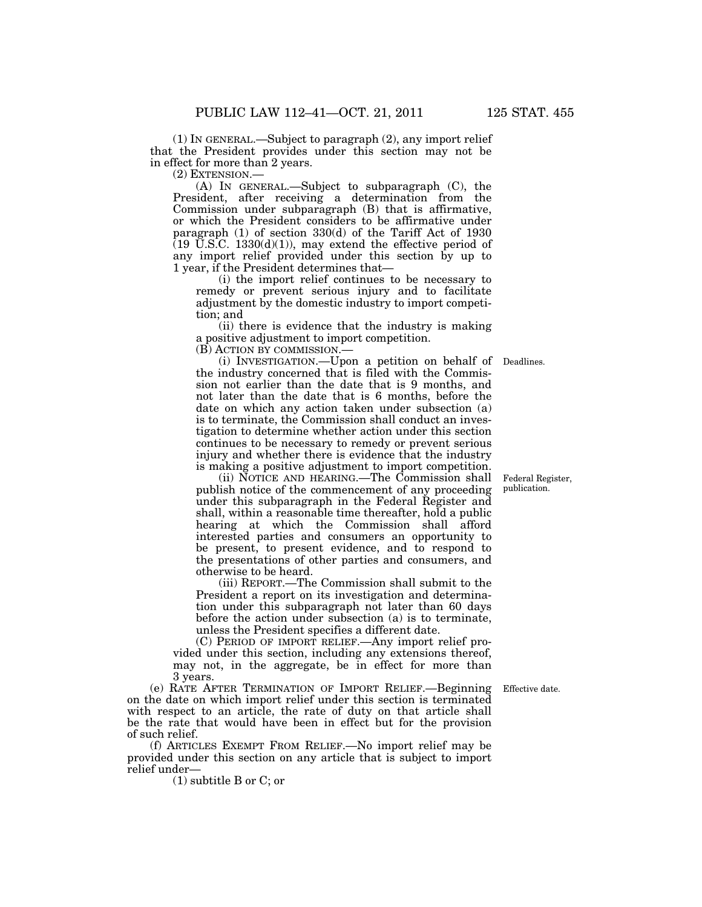(1) IN GENERAL.—Subject to paragraph (2), any import relief that the President provides under this section may not be in effect for more than 2 years.

(2) EXTENSION.—

(A) IN GENERAL.—Subject to subparagraph (C), the President, after receiving a determination from the Commission under subparagraph (B) that is affirmative, or which the President considers to be affirmative under paragraph (1) of section 330(d) of the Tariff Act of 1930  $(19 \text{ U.S.C. } 1330(d)(1))$ , may extend the effective period of any import relief provided under this section by up to 1 year, if the President determines that—

(i) the import relief continues to be necessary to remedy or prevent serious injury and to facilitate adjustment by the domestic industry to import competition; and

(ii) there is evidence that the industry is making a positive adjustment to import competition.

(B) ACTION BY COMMISSION.—

(i) INVESTIGATION.—Upon a petition on behalf of Deadlines. the industry concerned that is filed with the Commission not earlier than the date that is 9 months, and not later than the date that is 6 months, before the date on which any action taken under subsection (a) is to terminate, the Commission shall conduct an investigation to determine whether action under this section continues to be necessary to remedy or prevent serious injury and whether there is evidence that the industry is making a positive adjustment to import competition.

(ii) NOTICE AND HEARING.—The Commission shall publish notice of the commencement of any proceeding under this subparagraph in the Federal Register and shall, within a reasonable time thereafter, hold a public hearing at which the Commission shall afford interested parties and consumers an opportunity to be present, to present evidence, and to respond to the presentations of other parties and consumers, and otherwise to be heard.

(iii) REPORT.—The Commission shall submit to the President a report on its investigation and determination under this subparagraph not later than 60 days before the action under subsection (a) is to terminate, unless the President specifies a different date.

(C) PERIOD OF IMPORT RELIEF.—Any import relief provided under this section, including any extensions thereof, may not, in the aggregate, be in effect for more than 3 years.

(e) RATE AFTER TERMINATION OF IMPORT RELIEF.—Beginning on the date on which import relief under this section is terminated with respect to an article, the rate of duty on that article shall be the rate that would have been in effect but for the provision of such relief.

(f) ARTICLES EXEMPT FROM RELIEF.—No import relief may be provided under this section on any article that is subject to import relief under—

(1) subtitle B or C; or

Federal Register, publication.

Effective date.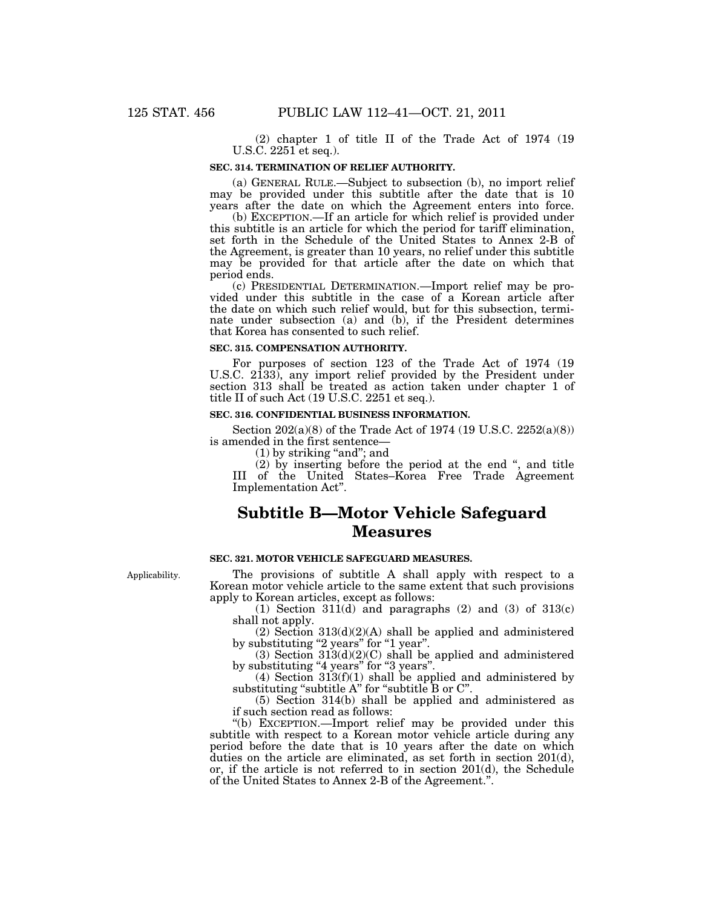(2) chapter 1 of title II of the Trade Act of 1974 (19 U.S.C. 2251 et seq.).

#### **SEC. 314. TERMINATION OF RELIEF AUTHORITY.**

(a) GENERAL RULE.—Subject to subsection (b), no import relief may be provided under this subtitle after the date that is 10 years after the date on which the Agreement enters into force.

(b) EXCEPTION.—If an article for which relief is provided under this subtitle is an article for which the period for tariff elimination, set forth in the Schedule of the United States to Annex 2-B of the Agreement, is greater than 10 years, no relief under this subtitle may be provided for that article after the date on which that period ends.

(c) PRESIDENTIAL DETERMINATION.—Import relief may be provided under this subtitle in the case of a Korean article after the date on which such relief would, but for this subsection, terminate under subsection (a) and (b), if the President determines that Korea has consented to such relief.

### **SEC. 315. COMPENSATION AUTHORITY.**

For purposes of section 123 of the Trade Act of 1974 (19 U.S.C. 2133), any import relief provided by the President under section 313 shall be treated as action taken under chapter 1 of title II of such Act (19 U.S.C. 2251 et seq.).

## **SEC. 316. CONFIDENTIAL BUSINESS INFORMATION.**

Section 202(a)(8) of the Trade Act of 1974 (19 U.S.C. 2252(a)(8)) is amended in the first sentence—

 $(1)$  by striking "and"; and

(2) by inserting before the period at the end '', and title III of the United States–Korea Free Trade Agreement Implementation Act''.

# **Subtitle B—Motor Vehicle Safeguard Measures**

## **SEC. 321. MOTOR VEHICLE SAFEGUARD MEASURES.**

The provisions of subtitle A shall apply with respect to a Korean motor vehicle article to the same extent that such provisions apply to Korean articles, except as follows:

(1) Section  $311(d)$  and paragraphs (2) and (3) of  $313(c)$ shall not apply.

 $(2)$  Section 313 $(d)(2)(A)$  shall be applied and administered by substituting "2 years" for "1 year".

(3) Section  $313(d)(2)(C)$  shall be applied and administered by substituting "4 years" for "3 years".

(4) Section 313(f)(1) shall be applied and administered by substituting "subtitle A" for "subtitle B or C".

(5) Section 314(b) shall be applied and administered as if such section read as follows:

''(b) EXCEPTION.—Import relief may be provided under this subtitle with respect to a Korean motor vehicle article during any period before the date that is 10 years after the date on which duties on the article are eliminated, as set forth in section 201(d), or, if the article is not referred to in section 201(d), the Schedule of the United States to Annex 2-B of the Agreement.''.

Applicability.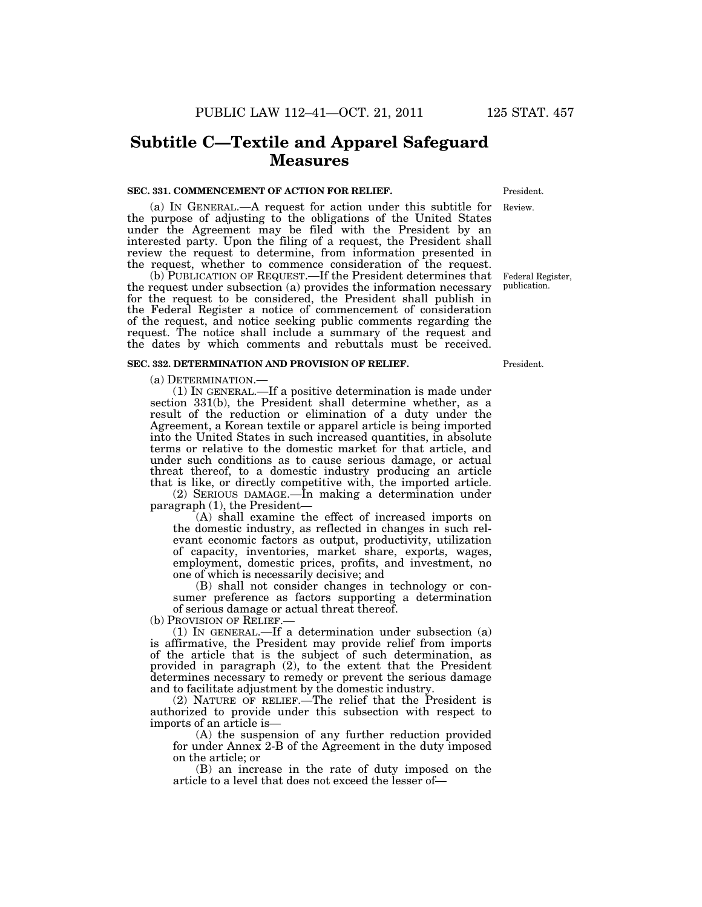## **Subtitle C—Textile and Apparel Safeguard Measures**

#### **SEC. 331. COMMENCEMENT OF ACTION FOR RELIEF.**

(a) IN GENERAL.—A request for action under this subtitle for the purpose of adjusting to the obligations of the United States under the Agreement may be filed with the President by an interested party. Upon the filing of a request, the President shall review the request to determine, from information presented in the request, whether to commence consideration of the request.

(b) PUBLICATION OF REQUEST.—If the President determines that the request under subsection (a) provides the information necessary for the request to be considered, the President shall publish in the Federal Register a notice of commencement of consideration of the request, and notice seeking public comments regarding the request. The notice shall include a summary of the request and the dates by which comments and rebuttals must be received.

#### **SEC. 332. DETERMINATION AND PROVISION OF RELIEF.**

(a) DETERMINATION.—

(1) IN GENERAL.—If a positive determination is made under section 331(b), the President shall determine whether, as a result of the reduction or elimination of a duty under the Agreement, a Korean textile or apparel article is being imported into the United States in such increased quantities, in absolute terms or relative to the domestic market for that article, and under such conditions as to cause serious damage, or actual threat thereof, to a domestic industry producing an article that is like, or directly competitive with, the imported article.

(2) SERIOUS DAMAGE.—In making a determination under paragraph (1), the President—

(A) shall examine the effect of increased imports on the domestic industry, as reflected in changes in such relevant economic factors as output, productivity, utilization of capacity, inventories, market share, exports, wages, employment, domestic prices, profits, and investment, no one of which is necessarily decisive; and

(B) shall not consider changes in technology or consumer preference as factors supporting a determination of serious damage or actual threat thereof.

(b) PROVISION OF RELIEF.—

(1) IN GENERAL.—If a determination under subsection (a) is affirmative, the President may provide relief from imports of the article that is the subject of such determination, as provided in paragraph (2), to the extent that the President determines necessary to remedy or prevent the serious damage and to facilitate adjustment by the domestic industry.

(2) NATURE OF RELIEF.—The relief that the President is authorized to provide under this subsection with respect to imports of an article is—

(A) the suspension of any further reduction provided for under Annex 2-B of the Agreement in the duty imposed on the article; or

(B) an increase in the rate of duty imposed on the article to a level that does not exceed the lesser of—

President.

Review.

Federal Register, publication.

President.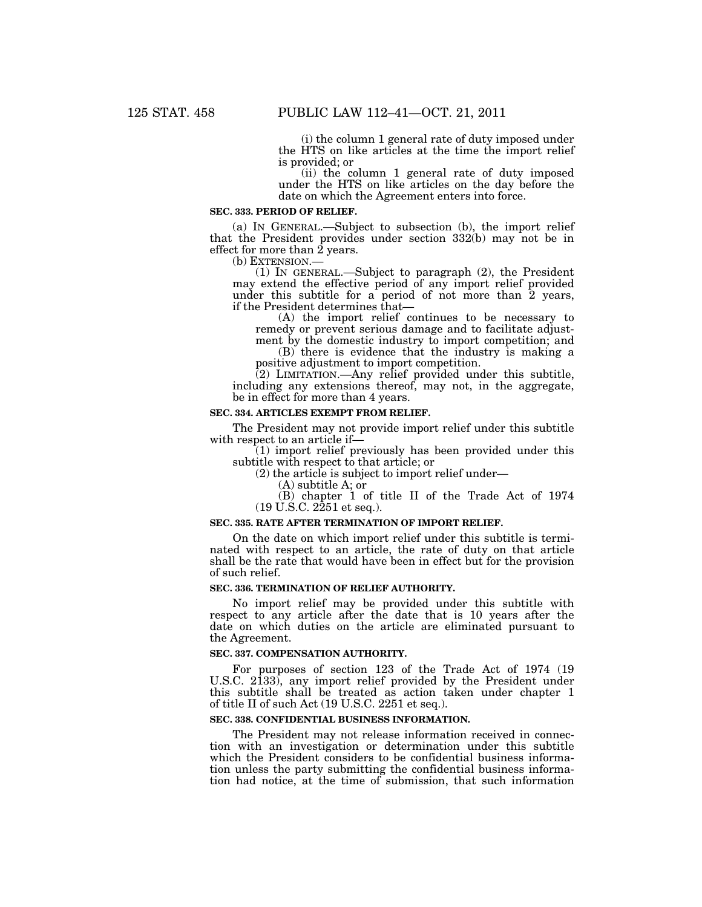(i) the column 1 general rate of duty imposed under the HTS on like articles at the time the import relief is provided; or

(ii) the column 1 general rate of duty imposed under the HTS on like articles on the day before the date on which the Agreement enters into force.

#### **SEC. 333. PERIOD OF RELIEF.**

(a) IN GENERAL.—Subject to subsection (b), the import relief that the President provides under section 332(b) may not be in effect for more than  $\hat{2}$  years.<br>(b) EXTENSION.—

(1) IN GENERAL.—Subject to paragraph  $(2)$ , the President may extend the effective period of any import relief provided under this subtitle for a period of not more than 2 years, if the President determines that—

(A) the import relief continues to be necessary to remedy or prevent serious damage and to facilitate adjustment by the domestic industry to import competition; and

(B) there is evidence that the industry is making a positive adjustment to import competition.

(2) LIMITATION.—Any relief provided under this subtitle, including any extensions thereof, may not, in the aggregate, be in effect for more than 4 years.

## **SEC. 334. ARTICLES EXEMPT FROM RELIEF.**

The President may not provide import relief under this subtitle with respect to an article if—

(1) import relief previously has been provided under this subtitle with respect to that article; or

(2) the article is subject to import relief under—

(A) subtitle A; or

(B) chapter 1 of title II of the Trade Act of 1974  $(19 \text{ U.S.C. } 2251 \text{ et seq.}).$ 

## **SEC. 335. RATE AFTER TERMINATION OF IMPORT RELIEF.**

On the date on which import relief under this subtitle is terminated with respect to an article, the rate of duty on that article shall be the rate that would have been in effect but for the provision of such relief.

#### **SEC. 336. TERMINATION OF RELIEF AUTHORITY.**

No import relief may be provided under this subtitle with respect to any article after the date that is 10 years after the date on which duties on the article are eliminated pursuant to the Agreement.

### **SEC. 337. COMPENSATION AUTHORITY.**

For purposes of section 123 of the Trade Act of 1974 (19 U.S.C. 2133), any import relief provided by the President under this subtitle shall be treated as action taken under chapter 1 of title II of such Act (19 U.S.C. 2251 et seq.).

## **SEC. 338. CONFIDENTIAL BUSINESS INFORMATION.**

The President may not release information received in connection with an investigation or determination under this subtitle which the President considers to be confidential business information unless the party submitting the confidential business information had notice, at the time of submission, that such information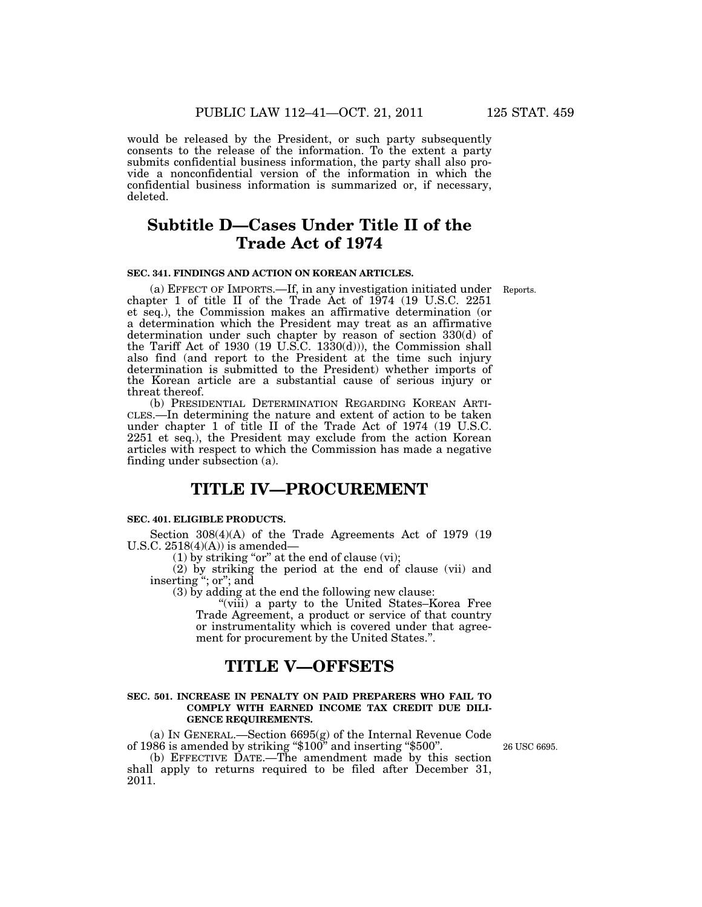would be released by the President, or such party subsequently consents to the release of the information. To the extent a party submits confidential business information, the party shall also provide a nonconfidential version of the information in which the confidential business information is summarized or, if necessary, deleted.

# **Subtitle D—Cases Under Title II of the Trade Act of 1974**

## **SEC. 341. FINDINGS AND ACTION ON KOREAN ARTICLES.**

Reports.

(a) EFFECT OF IMPORTS.—If, in any investigation initiated under chapter 1 of title II of the Trade Act of 1974 (19 U.S.C. 2251 et seq.), the Commission makes an affirmative determination (or a determination which the President may treat as an affirmative determination under such chapter by reason of section 330(d) of the Tariff Act of 1930 (19 U.S.C. 1330(d))), the Commission shall also find (and report to the President at the time such injury determination is submitted to the President) whether imports of the Korean article are a substantial cause of serious injury or threat thereof.

(b) PRESIDENTIAL DETERMINATION REGARDING KOREAN ARTI-CLES.—In determining the nature and extent of action to be taken under chapter 1 of title II of the Trade Act of 1974 (19 U.S.C. 2251 et seq.), the President may exclude from the action Korean articles with respect to which the Commission has made a negative finding under subsection (a).

# **TITLE IV—PROCUREMENT**

#### **SEC. 401. ELIGIBLE PRODUCTS.**

Section 308(4)(A) of the Trade Agreements Act of 1979 (19 U.S.C.  $2518(4)(A)$  is amended–

 $(1)$  by striking "or" at the end of clause (vi);

(2) by striking the period at the end of clause (vii) and inserting "; or"; and

(3) by adding at the end the following new clause:

"(viii) a party to the United States–Korea Free Trade Agreement, a product or service of that country or instrumentality which is covered under that agreement for procurement by the United States.''.

## **TITLE V—OFFSETS**

#### **SEC. 501. INCREASE IN PENALTY ON PAID PREPARERS WHO FAIL TO COMPLY WITH EARNED INCOME TAX CREDIT DUE DILI-GENCE REQUIREMENTS.**

(a) IN GENERAL.—Section 6695(g) of the Internal Revenue Code of 1986 is amended by striking ''\$100'' and inserting ''\$500''.

(b) EFFECTIVE DATE.—The amendment made by this section shall apply to returns required to be filed after December 31, 2011.

26 USC 6695.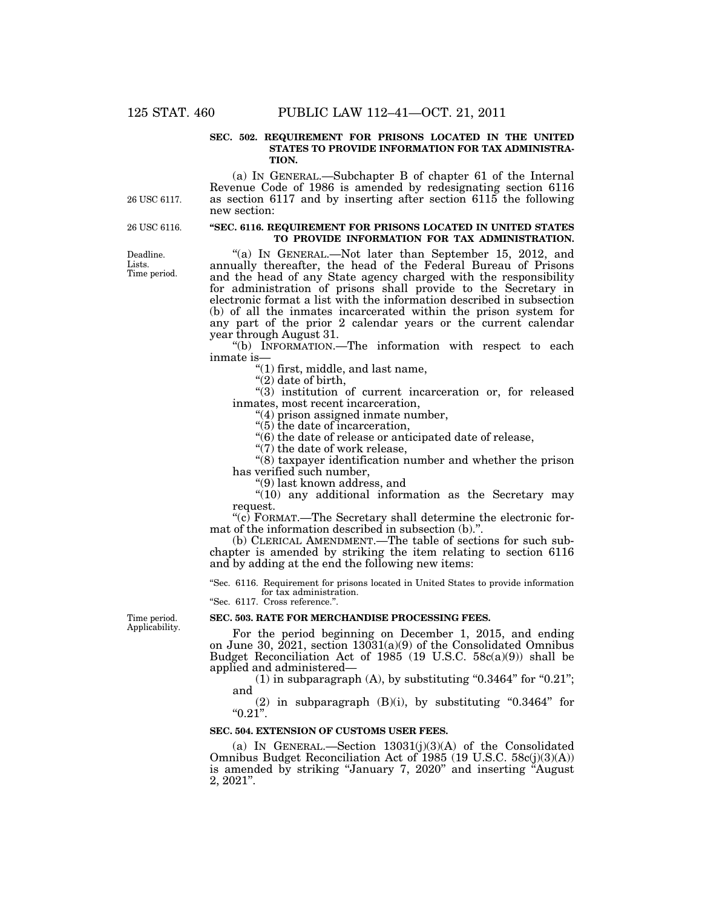### **SEC. 502. REQUIREMENT FOR PRISONS LOCATED IN THE UNITED STATES TO PROVIDE INFORMATION FOR TAX ADMINISTRA-TION.**

(a) IN GENERAL.—Subchapter B of chapter 61 of the Internal Revenue Code of 1986 is amended by redesignating section 6116 as section 6117 and by inserting after section 6115 the following new section:

26 USC 6116.

26 USC 6117.

#### **''SEC. 6116. REQUIREMENT FOR PRISONS LOCATED IN UNITED STATES TO PROVIDE INFORMATION FOR TAX ADMINISTRATION.**

"(a) IN GENERAL.—Not later than September 15, 2012, and annually thereafter, the head of the Federal Bureau of Prisons and the head of any State agency charged with the responsibility for administration of prisons shall provide to the Secretary in electronic format a list with the information described in subsection (b) of all the inmates incarcerated within the prison system for any part of the prior 2 calendar years or the current calendar year through August 31.

''(b) INFORMATION.—The information with respect to each inmate is—

''(1) first, middle, and last name,

" $(2)$  date of birth,

"(3) institution of current incarceration or, for released inmates, most recent incarceration,

"(4) prison assigned inmate number,

''(5) the date of incarceration,

''(6) the date of release or anticipated date of release,

" $(7)$  the date of work release,

''(8) taxpayer identification number and whether the prison has verified such number,

''(9) last known address, and

"(10) any additional information as the Secretary may request.

 $\degree$ (c) FORMAT.—The Secretary shall determine the electronic format of the information described in subsection (b).''.

(b) CLERICAL AMENDMENT.—The table of sections for such subchapter is amended by striking the item relating to section 6116 and by adding at the end the following new items:

''Sec. 6116. Requirement for prisons located in United States to provide information for tax administration. ''Sec. 6117. Cross reference.''.

Time period. Applicability.

#### **SEC. 503. RATE FOR MERCHANDISE PROCESSING FEES.**

For the period beginning on December 1, 2015, and ending on June 30, 2021, section 13031(a)(9) of the Consolidated Omnibus Budget Reconciliation Act of 1985 (19 U.S.C.  $58c(a)(9)$ ) shall be applied and administered—

 $(1)$  in subparagraph  $(A)$ , by substituting "0.3464" for "0.21"; and

(2) in subparagraph  $(B)(i)$ , by substituting "0.3464" for  $"0.21".$ 

#### **SEC. 504. EXTENSION OF CUSTOMS USER FEES.**

(a) IN GENERAL.—Section  $13031(i)(3)(A)$  of the Consolidated Omnibus Budget Reconciliation Act of 1985 (19 U.S.C. 58c(j)(3)(A)) is amended by striking "January 7, 2020" and inserting "August 2, 2021''.

Deadline. Lists. Time period.